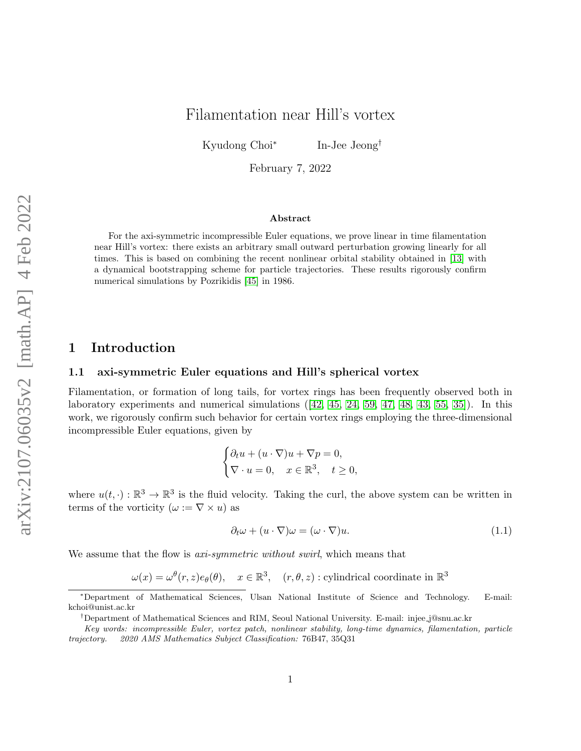# Filamentation near Hill's vortex

Kyudong Choi<sup>∗</sup> In-Jee Jeong†

February 7, 2022

#### Abstract

For the axi-symmetric incompressible Euler equations, we prove linear in time filamentation near Hill's vortex: there exists an arbitrary small outward perturbation growing linearly for all times. This is based on combining the recent nonlinear orbital stability obtained in [\[13\]](#page-28-0) with a dynamical bootstrapping scheme for particle trajectories. These results rigorously confirm numerical simulations by Pozrikidis [\[45\]](#page-30-0) in 1986.

### 1 Introduction

#### 1.1 axi-symmetric Euler equations and Hill's spherical vortex

Filamentation, or formation of long tails, for vortex rings has been frequently observed both in laboratory experiments and numerical simulations  $(42, 45, 24, 59, 47, 48, 43, 55, 35)$  $(42, 45, 24, 59, 47, 48, 43, 55, 35)$  $(42, 45, 24, 59, 47, 48, 43, 55, 35)$  $(42, 45, 24, 59, 47, 48, 43, 55, 35)$  $(42, 45, 24, 59, 47, 48, 43, 55, 35)$  $(42, 45, 24, 59, 47, 48, 43, 55, 35)$  $(42, 45, 24, 59, 47, 48, 43, 55, 35)$  $(42, 45, 24, 59, 47, 48, 43, 55, 35)$  $(42, 45, 24, 59, 47, 48, 43, 55, 35)$ . In this work, we rigorously confirm such behavior for certain vortex rings employing the three-dimensional incompressible Euler equations, given by

$$
\begin{cases} \partial_t u + (u \cdot \nabla)u + \nabla p = 0, \\ \nabla \cdot u = 0, \quad x \in \mathbb{R}^3, \quad t \ge 0, \end{cases}
$$

where  $u(t, \cdot): \mathbb{R}^3 \to \mathbb{R}^3$  is the fluid velocity. Taking the curl, the above system can be written in terms of the vorticity  $(\omega := \nabla \times u)$  as

<span id="page-0-0"></span>
$$
\partial_t \omega + (u \cdot \nabla)\omega = (\omega \cdot \nabla)u. \tag{1.1}
$$

We assume that the flow is *axi-symmetric without swirl*, which means that

 $\omega(x) = \omega^{\theta}(r, z) e_{\theta}(\theta), \quad x \in \mathbb{R}^3, \quad (r, \theta, z) : \text{cylindrical coordinate in } \mathbb{R}^3$ 

<sup>∗</sup>Department of Mathematical Sciences, Ulsan National Institute of Science and Technology. E-mail: kchoi@unist.ac.kr

<sup>†</sup>Department of Mathematical Sciences and RIM, Seoul National University. E-mail: injee j@snu.ac.kr

Key words: incompressible Euler, vortex patch, nonlinear stability, long-time dynamics, filamentation, particle trajectory. 2020 AMS Mathematics Subject Classification: 76B47, 35Q31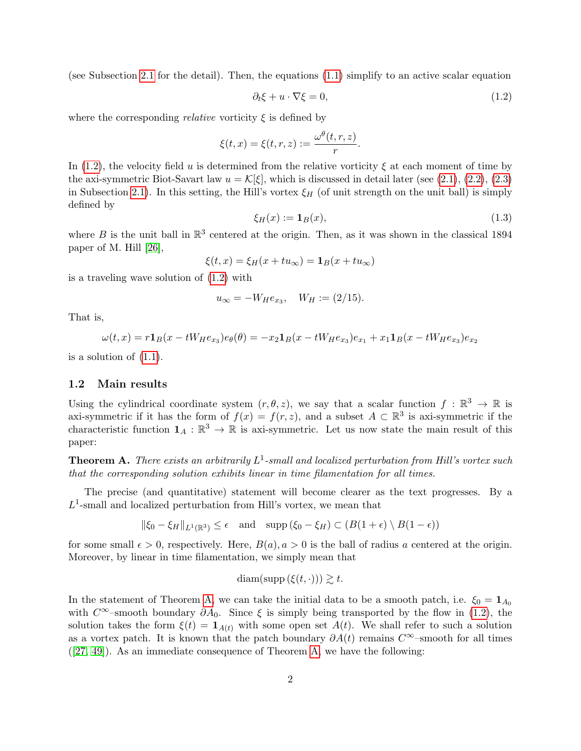<span id="page-1-0"></span>(see Subsection [2.1](#page-5-0) for the detail). Then, the equations [\(1.1\)](#page-0-0) simplify to an active scalar equation

$$
\partial_t \xi + u \cdot \nabla \xi = 0,\tag{1.2}
$$

where the corresponding *relative* vorticity  $\xi$  is defined by

$$
\xi(t,x) = \xi(t,r,z) := \frac{\omega^{\theta}(t,r,z)}{r}.
$$

In [\(1.2\)](#page-1-0), the velocity field u is determined from the relative vorticity  $\xi$  at each moment of time by the axi-symmetric Biot-Savart law  $u = \mathcal{K}[\xi]$ , which is discussed in detail later (see [\(2.1\)](#page-6-0), [\(2.2\)](#page-6-1), [\(2.3\)](#page-6-2) in Subsection [2.1\)](#page-5-0). In this setting, the Hill's vortex  $\xi_H$  (of unit strength on the unit ball) is simply defined by

<span id="page-1-2"></span>
$$
\xi_H(x) := \mathbf{1}_B(x),\tag{1.3}
$$

where B is the unit ball in  $\mathbb{R}^3$  centered at the origin. Then, as it was shown in the classical 1894 paper of M. Hill [\[26\]](#page-29-1),

$$
\xi(t,x) = \xi_H(x + tu_\infty) = \mathbf{1}_B(x + tu_\infty)
$$

is a traveling wave solution of [\(1.2\)](#page-1-0) with

$$
u_{\infty} = -W_{H}e_{x_{3}}, \quad W_{H} := (2/15).
$$

That is,

$$
\omega(t,x) = r\mathbf{1}_B(x - tW_He_{x_3})e_{\theta}(\theta) = -x_2\mathbf{1}_B(x - tW_He_{x_3})e_{x_1} + x_1\mathbf{1}_B(x - tW_He_{x_3})e_{x_2}
$$

is a solution of [\(1.1\)](#page-0-0).

#### 1.2 Main results

Using the cylindrical coordinate system  $(r, \theta, z)$ , we say that a scalar function  $f : \mathbb{R}^3 \to \mathbb{R}$  is axi-symmetric if it has the form of  $f(x) = f(r, z)$ , and a subset  $A \subset \mathbb{R}^3$  is axi-symmetric if the characteristic function  $\mathbf{1}_A : \mathbb{R}^3 \to \mathbb{R}$  is axi-symmetric. Let us now state the main result of this paper:

<span id="page-1-1"></span>**Theorem A.** There exists an arbitrarily  $L^1$ -small and localized perturbation from Hill's vortex such that the corresponding solution exhibits linear in time filamentation for all times.

The precise (and quantitative) statement will become clearer as the text progresses. By a  $L^1$ -small and localized perturbation from Hill's vortex, we mean that

$$
\|\xi_0 - \xi_H\|_{L^1(\mathbb{R}^3)} \le \epsilon \quad \text{and} \quad \text{supp}\left(\xi_0 - \xi_H\right) \subset \left(B(1+\epsilon) \setminus B(1-\epsilon)\right)
$$

for some small  $\epsilon > 0$ , respectively. Here,  $B(a), a > 0$  is the ball of radius a centered at the origin. Moreover, by linear in time filamentation, we simply mean that

$$
\text{diam}(\text{supp}\left(\xi(t,\cdot)\right)) \gtrsim t.
$$

In the statement of Theorem [A,](#page-1-1) we can take the initial data to be a smooth patch, i.e.  $\xi_0 = \mathbf{1}_{A_0}$ with  $C^{\infty}$ –smooth boundary  $\partial A_0$ . Since  $\xi$  is simply being transported by the flow in [\(1.2\)](#page-1-0), the solution takes the form  $\xi(t) = \mathbf{1}_{A(t)}$  with some open set  $A(t)$ . We shall refer to such a solution as a vortex patch. It is known that the patch boundary  $\partial A(t)$  remains  $C^{\infty}$ –smooth for all times ([\[27,](#page-29-2) [49\]](#page-31-4)). As an immediate consequence of Theorem [A,](#page-1-1) we have the following: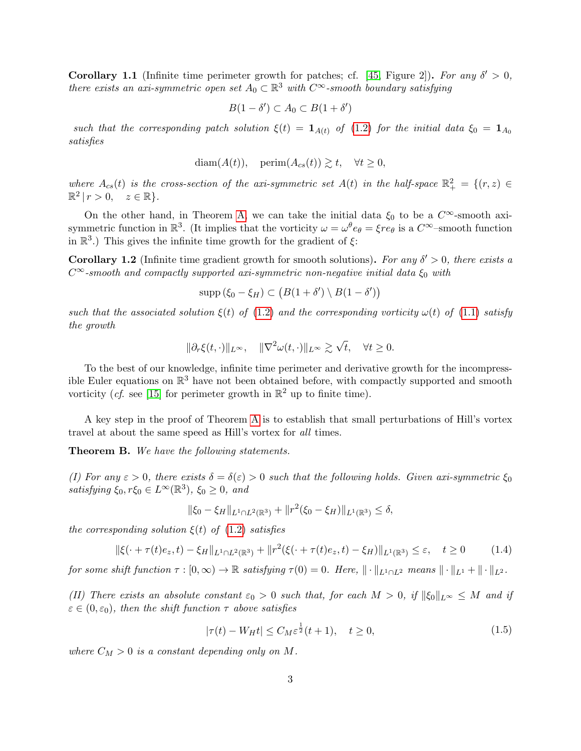<span id="page-2-1"></span>**Corollary 1.1** (Infinite time perimeter growth for patches; cf. [\[45,](#page-30-0) Figure 2]). For any  $\delta' > 0$ , there exists an axi-symmetric open set  $A_0 \subset \mathbb{R}^3$  with  $C^{\infty}$ -smooth boundary satisfying

$$
B(1-\delta') \subset A_0 \subset B(1+\delta')
$$

such that the corresponding patch solution  $\xi(t) = \mathbf{1}_{A(t)}$  of [\(1.2\)](#page-1-0) for the initial data  $\xi_0 = \mathbf{1}_{A_0}$ satisfies

$$
diam(A(t)), \quad perm(A_{cs}(t)) \gtrsim t, \quad \forall t \ge 0,
$$

where  $A_{cs}(t)$  is the cross-section of the axi-symmetric set  $A(t)$  in the half-space  $\mathbb{R}^2_+ = \{(r, z) \in$  $\mathbb{R}^2 \mid r > 0, \quad z \in \mathbb{R} \}.$ 

On the other hand, in Theorem [A,](#page-1-1) we can take the initial data  $\xi_0$  to be a  $C^{\infty}$ -smooth axisymmetric function in  $\mathbb{R}^3$ . (It implies that the vorticity  $\omega = \omega^{\theta} e_{\theta} = \xi r e_{\theta}$  is a  $C^{\infty}$ -smooth function in  $\mathbb{R}^3$ .) This gives the infinite time growth for the gradient of  $\xi$ :

<span id="page-2-4"></span>**Corollary 1.2** (Infinite time gradient growth for smooth solutions). For any  $\delta' > 0$ , there exists a  $C^{\infty}$ -smooth and compactly supported axi-symmetric non-negative initial data  $\xi_0$  with

$$
\mathrm{supp}(\xi_0 - \xi_H) \subset (B(1 + \delta') \setminus B(1 - \delta'))
$$

such that the associated solution  $\xi(t)$  of [\(1.2\)](#page-1-0) and the corresponding vorticity  $\omega(t)$  of [\(1.1\)](#page-0-0) satisfy the growth

$$
\|\partial_r \xi(t,\cdot)\|_{L^\infty}, \quad \|\nabla^2 \omega(t,\cdot)\|_{L^\infty} \gtrsim \sqrt{t}, \quad \forall t \ge 0.
$$

To the best of our knowledge, infinite time perimeter and derivative growth for the incompressible Euler equations on  $\mathbb{R}^3$  have not been obtained before, with compactly supported and smooth vorticity (*cf.* see [\[15\]](#page-29-3) for perimeter growth in  $\mathbb{R}^2$  up to finite time).

A key step in the proof of Theorem [A](#page-1-1) is to establish that small perturbations of Hill's vortex travel at about the same speed as Hill's vortex for all times.

<span id="page-2-2"></span>**Theorem B.** We have the following statements.

(I) For any  $\varepsilon > 0$ , there exists  $\delta = \delta(\varepsilon) > 0$  such that the following holds. Given axi-symmetric  $\xi_0$ satisfying  $\xi_0, r\xi_0 \in L^{\infty}(\mathbb{R}^3)$ ,  $\xi_0 \ge 0$ , and

$$
\|\xi_0 - \xi_H\|_{L^1 \cap L^2(\mathbb{R}^3)} + \|r^2(\xi_0 - \xi_H)\|_{L^1(\mathbb{R}^3)} \le \delta,
$$

the corresponding solution  $\xi(t)$  of  $(1.2)$  satisfies

$$
\|\xi(\cdot + \tau(t)e_z, t) - \xi_H\|_{L^1 \cap L^2(\mathbb{R}^3)} + \|r^2(\xi(\cdot + \tau(t)e_z, t) - \xi_H)\|_{L^1(\mathbb{R}^3)} \le \varepsilon, \quad t \ge 0 \tag{1.4}
$$

for some shift function  $\tau : [0, \infty) \to \mathbb{R}$  satisfying  $\tau(0) = 0$ . Here,  $\|\cdot\|_{L^1 \cap L^2}$  means  $\|\cdot\|_{L^1} + \|\cdot\|_{L^2}$ .

(II) There exists an absolute constant  $\varepsilon_0 > 0$  such that, for each  $M > 0$ , if  $||\xi_0||_{L^{\infty}} \leq M$  and if  $\varepsilon \in (0, \varepsilon_0)$ , then the shift function  $\tau$  above satisfies

<span id="page-2-3"></span>
$$
|\tau(t) - W_H t| \le C_M \varepsilon^{\frac{1}{2}} (t+1), \quad t \ge 0,
$$
\n(1.5)

<span id="page-2-0"></span>where  $C_M > 0$  is a constant depending only on M.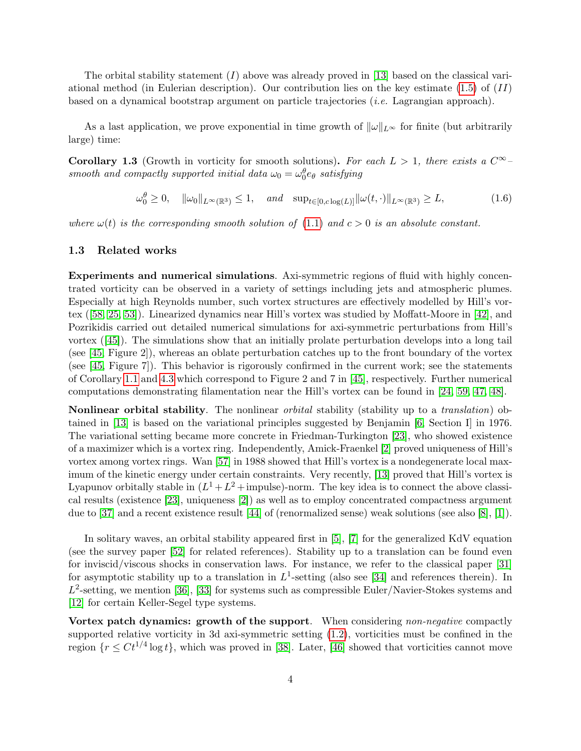The orbital stability statement  $(I)$  above was already proved in [\[13\]](#page-28-0) based on the classical variational method (in Eulerian description). Our contribution lies on the key estimate  $(1.5)$  of  $(II)$ based on a dynamical bootstrap argument on particle trajectories (i.e. Lagrangian approach).

As a last application, we prove exponential in time growth of  $\|\omega\|_{L^{\infty}}$  for finite (but arbitrarily large) time:

<span id="page-3-0"></span>**Corollary 1.3** (Growth in vorticity for smooth solutions). For each  $L > 1$ , there exists a  $C^{\infty}$ smooth and compactly supported initial data  $\omega_0 = \omega_0^{\theta} e_{\theta}$  satisfying

$$
\omega_0^{\theta} \ge 0, \quad \|\omega_0\|_{L^{\infty}(\mathbb{R}^3)} \le 1, \quad \text{and} \quad \sup_{t \in [0, c \log(L)]} \|\omega(t, \cdot)\|_{L^{\infty}(\mathbb{R}^3)} \ge L,\tag{1.6}
$$

<span id="page-3-1"></span>where  $\omega(t)$  is the corresponding smooth solution of [\(1.1\)](#page-0-0) and  $c > 0$  is an absolute constant.

#### 1.3 Related works

Experiments and numerical simulations. Axi-symmetric regions of fluid with highly concentrated vorticity can be observed in a variety of settings including jets and atmospheric plumes. Especially at high Reynolds number, such vortex structures are effectively modelled by Hill's vortex ([\[58,](#page-31-5) [25,](#page-29-4) [53\]](#page-31-6)). Linearized dynamics near Hill's vortex was studied by Moffatt-Moore in [\[42\]](#page-30-1), and Pozrikidis carried out detailed numerical simulations for axi-symmetric perturbations from Hill's vortex ([\[45\]](#page-30-0)). The simulations show that an initially prolate perturbation develops into a long tail (see [\[45,](#page-30-0) Figure 2]), whereas an oblate perturbation catches up to the front boundary of the vortex (see [\[45,](#page-30-0) Figure 7]). This behavior is rigorously confirmed in the current work; see the statements of Corollary [1.1](#page-2-1) and [4.3](#page-24-0) which correspond to Figure 2 and 7 in [\[45\]](#page-30-0), respectively. Further numerical computations demonstrating filamentation near the Hill's vortex can be found in [\[24,](#page-29-0) [59,](#page-31-0) [47,](#page-31-1) [48\]](#page-31-2).

Nonlinear orbital stability. The nonlinear *orbital* stability (stability up to a *translation*) obtained in [\[13\]](#page-28-0) is based on the variational principles suggested by Benjamin [\[6,](#page-28-1) Section I] in 1976. The variational setting became more concrete in Friedman-Turkington [\[23\]](#page-29-5), who showed existence of a maximizer which is a vortex ring. Independently, Amick-Fraenkel [\[2\]](#page-28-2) proved uniqueness of Hill's vortex among vortex rings. Wan [\[57\]](#page-31-7) in 1988 showed that Hill's vortex is a nondegenerate local maximum of the kinetic energy under certain constraints. Very recently, [\[13\]](#page-28-0) proved that Hill's vortex is Lyapunov orbitally stable in  $(L^1 + L^2 + \text{impulse})$ -norm. The key idea is to connect the above classical results (existence [\[23\]](#page-29-5), uniqueness [\[2\]](#page-28-2)) as well as to employ concentrated compactness argument due to [\[37\]](#page-30-4) and a recent existence result [\[44\]](#page-30-5) of (renormalized sense) weak solutions (see also [\[8\]](#page-28-3), [\[1\]](#page-28-4)).

In solitary waves, an orbital stability appeared first in [\[5\]](#page-28-5), [\[7\]](#page-28-6) for the generalized KdV equation (see the survey paper [\[52\]](#page-31-8) for related references). Stability up to a translation can be found even for inviscid/viscous shocks in conservation laws. For instance, we refer to the classical paper [\[31\]](#page-30-6) for asymptotic stability up to a translation in  $L^1$ -setting (also see [\[34\]](#page-30-7) and references therein). In  $L^2$ -setting, we mention [\[36\]](#page-30-8), [\[33\]](#page-30-9) for systems such as compressible Euler/Navier-Stokes systems and [\[12\]](#page-28-7) for certain Keller-Segel type systems.

Vortex patch dynamics: growth of the support. When considering non-negative compactly supported relative vorticity in 3d axi-symmetric setting [\(1.2\)](#page-1-0), vorticities must be confined in the region  $\{r \leq Ct^{1/4}\log t\}$ , which was proved in [\[38\]](#page-30-10). Later, [\[46\]](#page-30-11) showed that vorticities cannot move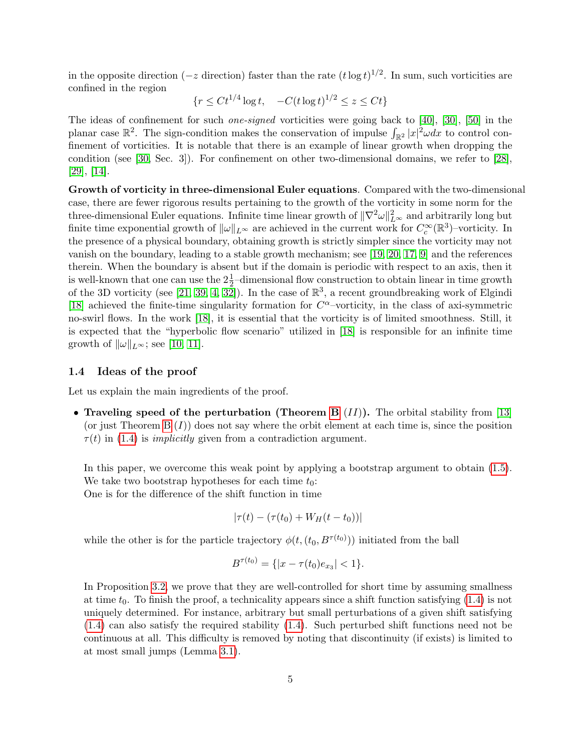in the opposite direction ( $-z$  direction) faster than the rate  $(t \log t)^{1/2}$ . In sum, such vorticities are confined in the region

$$
\{r \le Ct^{1/4} \log t, \quad -C(t \log t)^{1/2} \le z \le Ct\}
$$

The ideas of confinement for such one-signed vorticities were going back to [\[40\]](#page-30-12), [\[30\]](#page-29-6), [\[50\]](#page-31-9) in the planar case  $\mathbb{R}^2$ . The sign-condition makes the conservation of impulse  $\int_{\mathbb{R}^2} |x|^2 \omega dx$  to control confinement of vorticities. It is notable that there is an example of linear growth when dropping the condition (see [\[30,](#page-29-6) Sec. 3]). For confinement on other two-dimensional domains, we refer to [\[28\]](#page-29-7), [\[29\]](#page-29-8), [\[14\]](#page-29-9).

Growth of vorticity in three-dimensional Euler equations. Compared with the two-dimensional case, there are fewer rigorous results pertaining to the growth of the vorticity in some norm for the three-dimensional Euler equations. Infinite time linear growth of  $\|\nabla^2\omega\|_{L^{\infty}}^2$  and arbitrarily long but finite time exponential growth of  $\|\omega\|_{L^{\infty}}$  are achieved in the current work for  $C_c^{\infty}(\mathbb{R}^3)$ -vorticity. In the presence of a physical boundary, obtaining growth is strictly simpler since the vorticity may not vanish on the boundary, leading to a stable growth mechanism; see [\[19,](#page-29-10) [20,](#page-29-11) [17,](#page-29-12) [9\]](#page-28-8) and the references therein. When the boundary is absent but if the domain is periodic with respect to an axis, then it is well-known that one can use the  $2\frac{1}{2}$ -dimensional flow construction to obtain linear in time growth of the 3D vorticity (see [\[21,](#page-29-13) [39,](#page-30-13) [4,](#page-28-9) [32\]](#page-30-14)). In the case of  $\mathbb{R}^3$ , a recent groundbreaking work of Elgindi [\[18\]](#page-29-14) achieved the finite-time singularity formation for  $C^{\alpha}$ -vorticity, in the class of axi-symmetric no-swirl flows. In the work [\[18\]](#page-29-14), it is essential that the vorticity is of limited smoothness. Still, it is expected that the "hyperbolic flow scenario" utilized in [\[18\]](#page-29-14) is responsible for an infinite time growth of  $\|\omega\|_{L^{\infty}}$ ; see [\[10,](#page-28-10) [11\]](#page-28-11).

#### 1.4 Ideas of the proof

Let us explain the main ingredients of the proof.

• Traveling speed of the perturbation (Theorem [B](#page-2-2)  $(II)$ ). The orbital stability from [\[13\]](#page-28-0) (or just Theorem  $B(I)$ ) does not say where the orbit element at each time is, since the position  $\tau(t)$  in [\(1.4\)](#page-2-3) is *implicitly* given from a contradiction argument.

In this paper, we overcome this weak point by applying a bootstrap argument to obtain [\(1.5\)](#page-2-0). We take two bootstrap hypotheses for each time  $t_0$ :

One is for the difference of the shift function in time

$$
|\tau(t) - (\tau(t_0) + W_H(t - t_0))|
$$

while the other is for the particle trajectory  $\phi(t, (t_0, B^{\tau(t_0)}))$  initiated from the ball

$$
B^{\tau(t_0)} = \{ |x - \tau(t_0)e_{x_3}| < 1 \}.
$$

In Proposition [3.2,](#page-11-0) we prove that they are well-controlled for short time by assuming smallness at time  $t_0$ . To finish the proof, a technicality appears since a shift function satisfying  $(1.4)$  is not uniquely determined. For instance, arbitrary but small perturbations of a given shift satisfying [\(1.4\)](#page-2-3) can also satisfy the required stability [\(1.4\)](#page-2-3). Such perturbed shift functions need not be continuous at all. This difficulty is removed by noting that discontinuity (if exists) is limited to at most small jumps (Lemma [3.1\)](#page-9-0).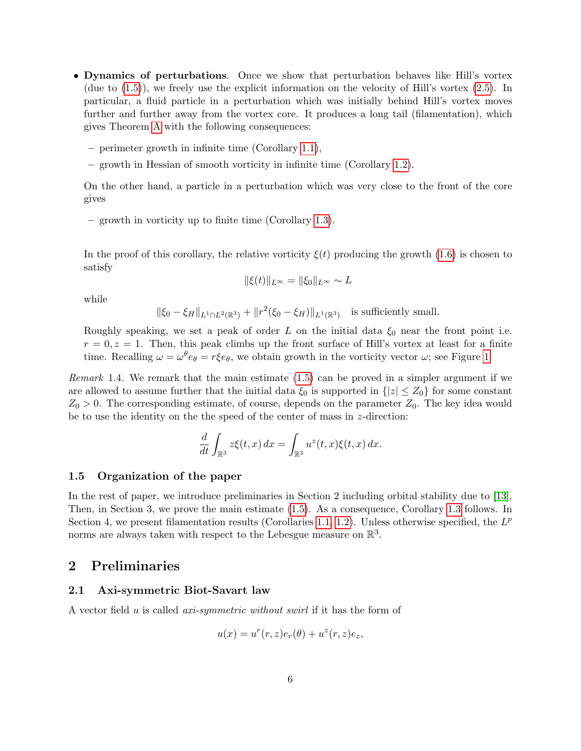- Dynamics of perturbations. Once we show that perturbation behaves like Hill's vortex (due to [\(1.5\)](#page-2-0)), we freely use the explicit information on the velocity of Hill's vortex [\(2.5\)](#page-6-3). In particular, a fluid particle in a perturbation which was initially behind Hill's vortex moves further and further away from the vortex core. It produces a long tail (filamentation), which gives Theorem [A](#page-1-1) with the following consequences:
	- perimeter growth in infinite time (Corollary [1.1\)](#page-2-1),
	- growth in Hessian of smooth vorticity in infinite time (Corollary [1.2\)](#page-2-4).

On the other hand, a particle in a perturbation which was very close to the front of the core gives

– growth in vorticity up to finite time (Corollary [1.3\)](#page-3-0).

In the proof of this corollary, the relative vorticity  $\xi(t)$  producing the growth [\(1.6\)](#page-3-1) is chosen to satisfy

$$
\|\xi(t)\|_{L^\infty} = \|\xi_0\|_{L^\infty} \sim L
$$

while

$$
\|\xi_0 - \xi_H\|_{L^1 \cap L^2(\mathbb{R}^3)} + \|r^2(\xi_0 - \xi_H)\|_{L^1(\mathbb{R}^3)} \quad \text{is sufficiently small.}
$$

Roughly speaking, we set a peak of order L on the initial data  $\xi_0$  near the front point i.e.  $r = 0, z = 1$ . Then, this peak climbs up the front surface of Hill's vortex at least for a finite time. Recalling  $\omega = \omega^{\theta} e_{\theta} = r \xi e_{\theta}$ , we obtain growth in the vorticity vector  $\omega$ ; see Figure [1.](#page-22-0)

Remark 1.4. We remark that the main estimate [\(1.5\)](#page-2-0) can be proved in a simpler argument if we are allowed to assume further that the initial data  $\xi_0$  is supported in  $\{|z| \leq Z_0\}$  for some constant  $Z_0 > 0$ . The corresponding estimate, of course, depends on the parameter  $Z_0$ . The key idea would be to use the identity on the the speed of the center of mass in  $z$ -direction:

$$
\frac{d}{dt} \int_{\mathbb{R}^3} z\xi(t, x) dx = \int_{\mathbb{R}^3} u^z(t, x)\xi(t, x) dx.
$$

#### 1.5 Organization of the paper

In the rest of paper, we introduce preliminaries in Section 2 including orbital stability due to [\[13\]](#page-28-0). Then, in Section 3, we prove the main estimate [\(1.5\)](#page-2-0). As a consequence, Corollary [1.3](#page-3-0) follows. In Section 4, we present filamentation results (Corollaries [1.1,](#page-2-1) [1.2\)](#page-2-4). Unless otherwise specified, the  $L^p$ norms are always taken with respect to the Lebesgue measure on  $\mathbb{R}^3$ .

### 2 Preliminaries

#### <span id="page-5-0"></span>2.1 Axi-symmetric Biot-Savart law

A vector field u is called axi-symmetric without swirl if it has the form of

$$
u(x) = ur(r, z)er(\theta) + uz(r, z)ez,
$$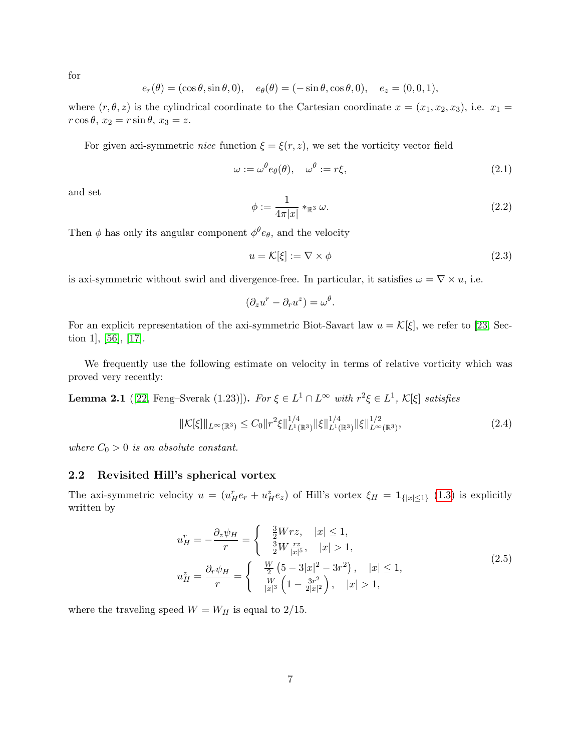for

$$
e_r(\theta) = (\cos \theta, \sin \theta, 0), \quad e_\theta(\theta) = (-\sin \theta, \cos \theta, 0), \quad e_z = (0, 0, 1),
$$

where  $(r, \theta, z)$  is the cylindrical coordinate to the Cartesian coordinate  $x = (x_1, x_2, x_3)$ , i.e.  $x_1 =$  $r \cos \theta$ ,  $x_2 = r \sin \theta$ ,  $x_3 = z$ .

For given axi-symmetric *nice* function  $\xi = \xi(r, z)$ , we set the vorticity vector field

<span id="page-6-0"></span>
$$
\omega := \omega^{\theta} e_{\theta}(\theta), \quad \omega^{\theta} := r\xi,
$$
\n(2.1)

and set

<span id="page-6-1"></span>
$$
\phi := \frac{1}{4\pi|x|} *_{\mathbb{R}^3} \omega.
$$
\n
$$
(2.2)
$$

Then  $\phi$  has only its angular component  $\phi^{\theta}e_{\theta}$ , and the velocity

<span id="page-6-2"></span>
$$
u = \mathcal{K}[\xi] := \nabla \times \phi \tag{2.3}
$$

is axi-symmetric without swirl and divergence-free. In particular, it satisfies  $\omega = \nabla \times u$ , i.e.

$$
(\partial_z u^r - \partial_r u^z) = \omega^\theta.
$$

For an explicit representation of the axi-symmetric Biot-Savart law  $u = \mathcal{K}[\xi]$ , we refer to [\[23,](#page-29-5) Section 1], [\[56\]](#page-31-10), [\[17\]](#page-29-12).

We frequently use the following estimate on velocity in terms of relative vorticity which was proved very recently:

<span id="page-6-5"></span>**Lemma 2.1** ([\[22,](#page-29-15) Feng–Sverak (1.23)]). For  $\xi \in L^1 \cap L^\infty$  with  $r^2 \xi \in L^1$ ,  $\mathcal{K}[\xi]$  satisfies

<span id="page-6-4"></span>
$$
\|\mathcal{K}[\xi]\|_{L^{\infty}(\mathbb{R}^3)} \leq C_0 \|r^2 \xi\|_{L^1(\mathbb{R}^3)}^{1/4} \|\xi\|_{L^1(\mathbb{R}^3)}^{1/4} \|\xi\|_{L^{\infty}(\mathbb{R}^3)}^{1/2},\tag{2.4}
$$

where  $C_0 > 0$  is an absolute constant.

#### 2.2 Revisited Hill's spherical vortex

The axi-symmetric velocity  $u = (u_H^r e_r + u_H^z e_z)$  of Hill's vortex  $\xi_H = \mathbf{1}_{\{|x| \leq 1\}}$  [\(1.3\)](#page-1-2) is explicitly written by

$$
u_H^r = -\frac{\partial_z \psi_H}{r} = \begin{cases} \frac{\frac{3}{2}Wrz, & |x| \le 1, \\ \frac{3}{2}W\frac{rz}{|x|^5}, & |x| > 1, \end{cases} \quad u_H^z = \frac{\partial_r \psi_H}{r} = \begin{cases} \frac{W}{2}(5-3|x|^2-3r^2), & |x| \le 1, \\ \frac{W}{|x|^3}\left(1-\frac{3r^2}{2|x|^2}\right), & |x| > 1, \end{cases} \tag{2.5}
$$

<span id="page-6-3"></span>where the traveling speed  $W = W_H$  is equal to 2/15.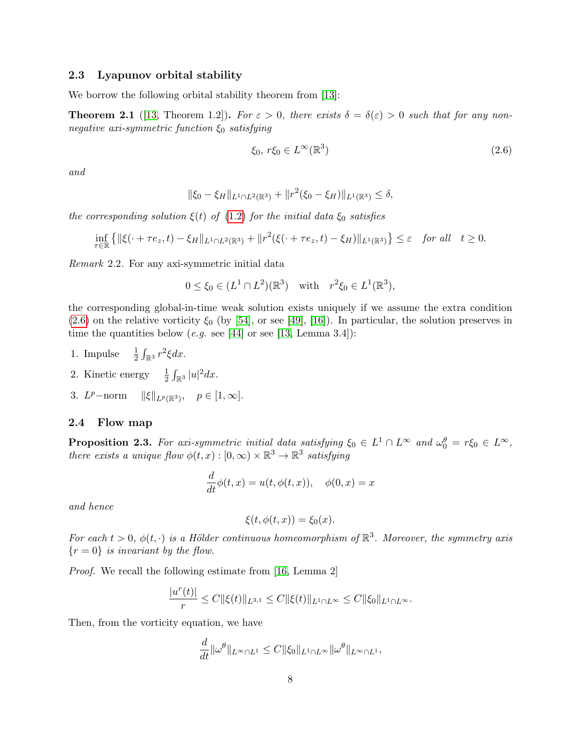#### 2.3 Lyapunov orbital stability

We borrow the following orbital stability theorem from [\[13\]](#page-28-0):

<span id="page-7-1"></span>**Theorem 2.1** ([\[13,](#page-28-0) Theorem 1.2]). For  $\varepsilon > 0$ , there exists  $\delta = \delta(\varepsilon) > 0$  such that for any nonnegative axi-symmetric function  $\xi_0$  satisfying

<span id="page-7-0"></span>
$$
\xi_0, r\xi_0 \in L^\infty(\mathbb{R}^3)
$$
\n
$$
(2.6)
$$

and

$$
\|\xi_0 - \xi_H\|_{L^1 \cap L^2(\mathbb{R}^3)} + \|r^2(\xi_0 - \xi_H)\|_{L^1(\mathbb{R}^3)} \le \delta,
$$

the corresponding solution  $\xi(t)$  of [\(1.2\)](#page-1-0) for the initial data  $\xi_0$  satisfies

$$
\inf_{\tau \in \mathbb{R}} \left\{ \|\xi(\cdot + \tau e_z, t) - \xi_H\|_{L^1 \cap L^2(\mathbb{R}^3)} + \|r^2(\xi(\cdot + \tau e_z, t) - \xi_H)\|_{L^1(\mathbb{R}^3)} \right\} \leq \varepsilon \quad \text{for all} \quad t \geq 0.
$$

Remark 2.2. For any axi-symmetric initial data

$$
0 \le \xi_0 \in (L^1 \cap L^2)(\mathbb{R}^3)
$$
 with  $r^2 \xi_0 \in L^1(\mathbb{R}^3)$ ,

the corresponding global-in-time weak solution exists uniquely if we assume the extra condition  $(2.6)$  on the relative vorticity  $\xi_0$  (by [\[54\]](#page-31-11), or see [\[49\]](#page-31-4), [\[16\]](#page-29-16)). In particular, the solution preserves in time the quantities below (e.g. see [\[44\]](#page-30-5) or see [\[13,](#page-28-0) Lemma 3.4]):

- 1. Impulse  $rac{1}{2} \int_{\mathbb{R}^3} r^2 \xi dx$ .
- 2. Kinetic energy  $\frac{1}{2} \int_{\mathbb{R}^3} |u|^2 dx$ .
- 3.  $L^p$ -norm  $\|\xi\|_{L^p(\mathbb{R}^3)}, \quad p \in [1, \infty].$

#### 2.4 Flow map

**Proposition 2.3.** For axi-symmetric initial data satisfying  $\xi_0 \in L^1 \cap L^{\infty}$  and  $\omega_0^{\theta} = r \xi_0 \in L^{\infty}$ , there exists a unique flow  $\phi(t,x): [0,\infty) \times \mathbb{R}^3 \to \mathbb{R}^3$  satisfying

$$
\frac{d}{dt}\phi(t,x) = u(t, \phi(t,x)), \quad \phi(0,x) = x
$$

and hence

$$
\xi(t,\phi(t,x))=\xi_0(x).
$$

For each  $t > 0$ ,  $\phi(t, \cdot)$  is a Hölder continuous homeomorphism of  $\mathbb{R}^3$ . Moreover, the symmetry axis  ${r = 0}$  is invariant by the flow.

Proof. We recall the following estimate from [\[16,](#page-29-16) Lemma 2]

$$
\frac{|u^r(t)|}{r} \leq C \|\xi(t)\|_{L^{3,1}} \leq C \|\xi(t)\|_{L^1 \cap L^\infty} \leq C \|\xi_0\|_{L^1 \cap L^\infty}.
$$

Then, from the vorticity equation, we have

$$
\frac{d}{dt} \|\omega^{\theta}\|_{L^{\infty}\cap L^{1}} \leq C \|\xi_0\|_{L^{1}\cap L^{\infty}} \|\omega^{\theta}\|_{L^{\infty}\cap L^{1}},
$$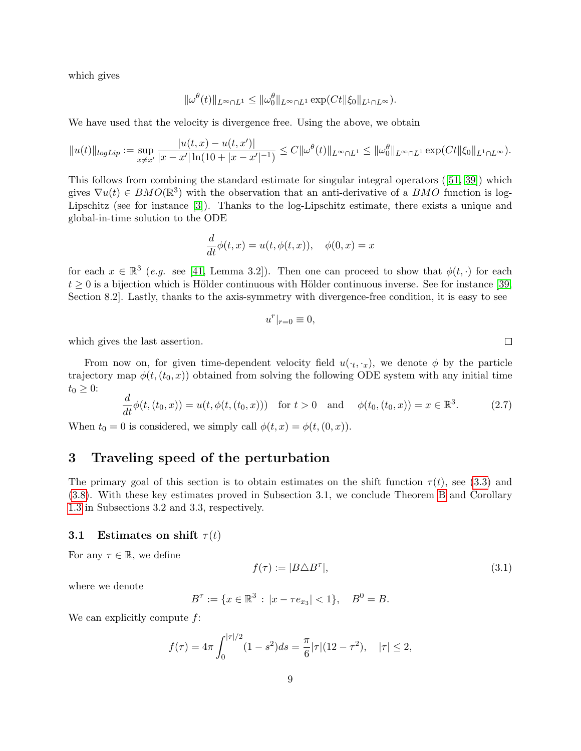which gives

$$
\|\omega^\theta(t)\|_{L^\infty\cap L^1}\leq \|\omega_0^\theta\|_{L^\infty\cap L^1}\exp(Ct\|\xi_0\|_{L^1\cap L^\infty}).
$$

We have used that the velocity is divergence free. Using the above, we obtain

$$
||u(t)||_{logLip} := \sup_{x \neq x'} \frac{|u(t,x) - u(t,x')|}{|x - x'| \ln(10 + |x - x'|^{-1})} \leq C ||\omega^{\theta}(t)||_{L^{\infty} \cap L^{1}} \leq ||\omega^{\theta}_{0}||_{L^{\infty} \cap L^{1}} \exp(Ct||\xi_{0}||_{L^{1} \cap L^{\infty}}).
$$

This follows from combining the standard estimate for singular integral operators ([\[51,](#page-31-12) [39\]](#page-30-13)) which gives  $\nabla u(t) \in BMO(\mathbb{R}^3)$  with the observation that an anti-derivative of a BMO function is log-Lipschitz (see for instance [\[3\]](#page-28-12)). Thanks to the log-Lipschitz estimate, there exists a unique and global-in-time solution to the ODE

$$
\frac{d}{dt}\phi(t,x) = u(t, \phi(t,x)), \quad \phi(0,x) = x
$$

for each  $x \in \mathbb{R}^3$  (e.g. see [\[41,](#page-30-15) Lemma 3.2]). Then one can proceed to show that  $\phi(t, \cdot)$  for each  $t \geq 0$  is a bijection which is Hölder continuous with Hölder continuous inverse. See for instance [\[39,](#page-30-13) Section 8.2]. Lastly, thanks to the axis-symmetry with divergence-free condition, it is easy to see

$$
u^r|_{r=0}\equiv 0,
$$

which gives the last assertion.

From now on, for given time-dependent velocity field  $u(\cdot_t, \cdot_x)$ , we denote  $\phi$  by the particle trajectory map  $\phi(t,(t_0,x))$  obtained from solving the following ODE system with any initial time  $t_0 \geq 0$ :

<span id="page-8-0"></span>
$$
\frac{d}{dt}\phi(t,(t_0,x)) = u(t,\phi(t,(t_0,x))) \text{ for } t > 0 \text{ and } \phi(t_0,(t_0,x)) = x \in \mathbb{R}^3.
$$
 (2.7)

When  $t_0 = 0$  is considered, we simply call  $\phi(t, x) = \phi(t, (0, x))$ .

# 3 Traveling speed of the perturbation

The primary goal of this section is to obtain estimates on the shift function  $\tau(t)$ , see [\(3.3\)](#page-9-1) and [\(3.8\)](#page-11-1). With these key estimates proved in Subsection 3.1, we conclude Theorem [B](#page-2-2) and Corollary [1.3](#page-3-0) in Subsections 3.2 and 3.3, respectively.

#### 3.1 Estimates on shift  $\tau(t)$

For any  $\tau \in \mathbb{R}$ , we define

<span id="page-8-1"></span>
$$
f(\tau) := |B \triangle B^{\tau}|,\tag{3.1}
$$

where we denote

$$
B^{\tau} := \{ x \in \mathbb{R}^3 : |x - \tau e_{x_3}| < 1 \}, \quad B^0 = B.
$$

We can explicitly compute  $f$ :

$$
f(\tau) = 4\pi \int_0^{|\tau|/2} (1 - s^2) ds = \frac{\pi}{6} |\tau| (12 - \tau^2), \quad |\tau| \le 2,
$$

 $\Box$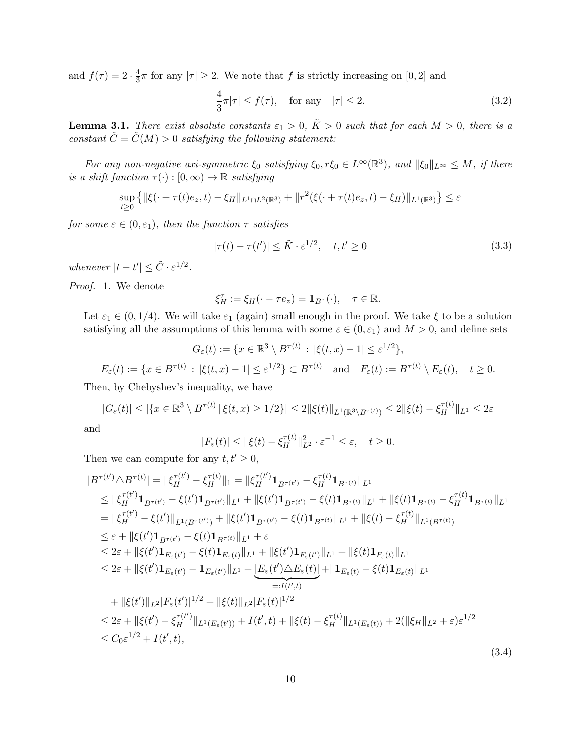and  $f(\tau) = 2 \cdot \frac{4}{3}$  $\frac{4}{3}\pi$  for any  $|\tau| \geq 2$ . We note that f is strictly increasing on  $[0,2]$  and

<span id="page-9-3"></span>
$$
\frac{4}{3}\pi|\tau| \le f(\tau), \quad \text{for any} \quad |\tau| \le 2. \tag{3.2}
$$

<span id="page-9-0"></span>**Lemma 3.1.** There exist absolute constants  $\varepsilon_1 > 0$ ,  $\tilde{K} > 0$  such that for each  $M > 0$ , there is a constant  $\tilde{C} = \tilde{C}(M) > 0$  satisfying the following statement:

For any non-negative axi-symmetric  $\xi_0$  satisfying  $\xi_0, r\xi_0 \in L^{\infty}(\mathbb{R}^3)$ , and  $\|\xi_0\|_{L^{\infty}} \leq M$ , if there is a shift function  $\tau(\cdot): [0, \infty) \to \mathbb{R}$  satisfying

$$
\sup_{t\geq 0} \left\{ \|\xi(\cdot + \tau(t)e_z, t) - \xi_H\|_{L^1 \cap L^2(\mathbb{R}^3)} + \|r^2(\xi(\cdot + \tau(t)e_z, t) - \xi_H)\|_{L^1(\mathbb{R}^3)} \right\} \leq \varepsilon
$$

<span id="page-9-1"></span>for some  $\varepsilon \in (0, \varepsilon_1)$ , then the function  $\tau$  satisfies

$$
|\tau(t) - \tau(t')| \le \tilde{K} \cdot \varepsilon^{1/2}, \quad t, t' \ge 0
$$
\n(3.3)

whenever  $|t-t'| \leq \tilde{C} \cdot \varepsilon^{1/2}$ .

Proof. 1. We denote

$$
\xi_H^{\tau} := \xi_H(\cdot - \tau e_z) = \mathbf{1}_{B^{\tau}}(\cdot), \quad \tau \in \mathbb{R}.
$$

Let  $\varepsilon_1 \in (0, 1/4)$ . We will take  $\varepsilon_1$  (again) small enough in the proof. We take  $\xi$  to be a solution satisfying all the assumptions of this lemma with some  $\varepsilon \in (0, \varepsilon_1)$  and  $M > 0$ , and define sets  $\mathcal{L}$ 

$$
G_{\varepsilon}(t) := \{x \in \mathbb{R}^3 \setminus B^{\tau(t)} : |\xi(t,x) - 1| \le \varepsilon^{1/2}\},
$$
  

$$
E_{\varepsilon}(t) := \{x \in B^{\tau(t)} : |\xi(t,x) - 1| \le \varepsilon^{1/2}\} \subset B^{\tau(t)} \text{ and } F_{\varepsilon}(t) := B^{\tau(t)} \setminus E_{\varepsilon}(t), \quad t \ge 0.
$$

Then, by Chebyshev's inequality, we have

$$
|G_{\varepsilon}(t)| \leq |\{x \in \mathbb{R}^3 \setminus B^{\tau(t)} \, | \, \xi(t,x) \geq 1/2\}| \leq 2 \|\xi(t)\|_{L^1(\mathbb{R}^3 \setminus B^{\tau(t)})} \leq 2 \|\xi(t) - \xi_H^{\tau(t)}\|_{L^1} \leq 2\varepsilon
$$

and

$$
|F_{\varepsilon}(t)| \leq \|\xi(t) - \xi_H^{\tau(t)}\|_{L^2}^2 \cdot \varepsilon^{-1} \leq \varepsilon, \quad t \geq 0.
$$

Then we can compute for any  $t, t' \geq 0$ ,

<span id="page-9-2"></span>
$$
|B^{\tau(t')}\triangle B^{\tau(t)}| = ||\xi_{H}^{\tau(t')} - \xi_{H}^{\tau(t)}||_1 = ||\xi_{H}^{\tau(t')} \mathbf{1}_{B^{\tau(t')}} - \xi_{H}^{\tau(t)} \mathbf{1}_{B^{\tau(t)}}||_{L^{1}}\n\leq ||\xi_{H}^{\tau(t')} \mathbf{1}_{B^{\tau(t')}} - \xi(t') \mathbf{1}_{B^{\tau(t')}} ||_{L^{1}} + ||\xi(t') \mathbf{1}_{B^{\tau(t')}} - \xi(t) \mathbf{1}_{B^{\tau(t)}}||_{L^{1}} + ||\xi(t) \mathbf{1}_{B^{\tau(t)}} - \xi_{H}^{\tau(t)} \mathbf{1}_{B^{\tau(t)}}||_{L^{1}}\n= ||\xi_{H}^{\tau(t')} - \xi(t')||_{L^{1}(B^{\tau(t')}}) + ||\xi(t') \mathbf{1}_{B^{\tau(t')}} - \xi(t) \mathbf{1}_{B^{\tau(t)}}||_{L^{1}} + ||\xi(t) - \xi_{H}^{\tau(t)}||_{L^{1}(B^{\tau(t)})}\n\leq \varepsilon + ||\xi(t') \mathbf{1}_{B^{\tau(t')}} - \xi(t) \mathbf{1}_{B^{\tau(t)}}||_{L^{1}} + \varepsilon\n\leq 2\varepsilon + ||\xi(t') \mathbf{1}_{E_{\varepsilon}(t')} - \xi(t) \mathbf{1}_{E_{\varepsilon}(t)}||_{L^{1}} + ||\xi(t') \mathbf{1}_{F_{\varepsilon}(t)}||_{L^{1}} + ||\xi(t) \mathbf{1}_{F_{\varepsilon}(t)}||_{L^{1}}\n\leq 2\varepsilon + ||\xi(t') \mathbf{1}_{E_{\varepsilon}(t')} - \mathbf{1}_{E_{\varepsilon}(t')}||_{L^{1}} + \underbrace{E_{\varepsilon}(t')\triangle E_{\varepsilon}(t)}_{=:I(t',t)} + ||\mathbf{1}_{E_{\varepsilon}(t)} - \xi(t) \mathbf{1}_{E_{\varepsilon}(t)}||_{L^{1}}\n+ ||\xi(t')||_{L^{2}}|F_{\varepsilon}(t')|^{1/2} + ||\xi(t)||_{L^{2}}|F_{\varepsilon}(t)|^{1/2}\n\leq 2\varepsilon + ||\xi(t') - \xi_{H}^{\tau(t')}||_{L^{1}(E_{\varepsilon}(t'))} + I(t',t) + ||\xi(t) - \xi_{H}
$$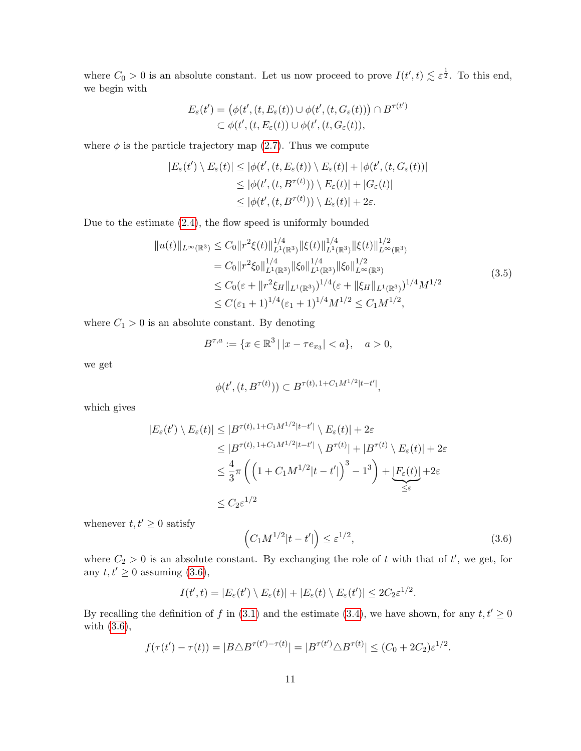where  $C_0 > 0$  is an absolute constant. Let us now proceed to prove  $I(t',t) \lesssim \varepsilon^{\frac{1}{2}}$ . To this end, we begin with

$$
E_{\varepsilon}(t') = (\phi(t', (t, E_{\varepsilon}(t))) \cup \phi(t', (t, G_{\varepsilon}(t))) \cap B^{\tau(t')}
$$
  

$$
\subset \phi(t', (t, E_{\varepsilon}(t)) \cup \phi(t', (t, G_{\varepsilon}(t))),
$$

where  $\phi$  is the particle trajectory map [\(2.7\)](#page-8-0). Thus we compute

$$
|E_{\varepsilon}(t') \setminus E_{\varepsilon}(t)| \leq |\phi(t', (t, E_{\varepsilon}(t)) \setminus E_{\varepsilon}(t)| + |\phi(t', (t, G_{\varepsilon}(t))|
$$
  
\n
$$
\leq |\phi(t', (t, B^{\tau(t)})) \setminus E_{\varepsilon}(t)| + |G_{\varepsilon}(t)|
$$
  
\n
$$
\leq |\phi(t', (t, B^{\tau(t)})) \setminus E_{\varepsilon}(t)| + 2\varepsilon.
$$

<span id="page-10-1"></span>Due to the estimate [\(2.4\)](#page-6-4), the flow speed is uniformly bounded

$$
||u(t)||_{L^{\infty}(\mathbb{R}^3)} \leq C_0 ||r^2 \xi(t)||_{L^1(\mathbb{R}^3)}^{1/4} ||\xi(t)||_{L^1(\mathbb{R}^3)}^{1/4} ||\xi(t)||_{L^{\infty}(\mathbb{R}^3)}^{1/2}
$$
  
\n
$$
= C_0 ||r^2 \xi_0||_{L^1(\mathbb{R}^3)}^{1/4} ||\xi_0||_{L^1(\mathbb{R}^3)}^{1/4} ||\xi_0||_{L^{\infty}(\mathbb{R}^3)}^{1/2}
$$
  
\n
$$
\leq C_0 (\varepsilon + ||r^2 \xi_H||_{L^1(\mathbb{R}^3)})^{1/4} (\varepsilon + ||\xi_H||_{L^1(\mathbb{R}^3)})^{1/4} M^{1/2}
$$
  
\n
$$
\leq C(\varepsilon_1 + 1)^{1/4} (\varepsilon_1 + 1)^{1/4} M^{1/2} \leq C_1 M^{1/2},
$$
\n(3.5)

where  $C_1 > 0$  is an absolute constant. By denoting

$$
B^{\tau,a} := \{ x \in \mathbb{R}^3 \, | \, |x - \tau e_{x_3}| < a \}, \quad a > 0,
$$

we get

$$
\phi(t', (t, B^{\tau(t)})) \subset B^{\tau(t), 1+C_1 M^{1/2} |t-t'|},
$$

which gives

$$
|E_{\varepsilon}(t') \setminus E_{\varepsilon}(t)| \leq |B^{\tau(t), 1+C_1 M^{1/2} |t-t'|} \setminus E_{\varepsilon}(t)| + 2\varepsilon
$$
  
\n
$$
\leq |B^{\tau(t), 1+C_1 M^{1/2} |t-t'|} \setminus B^{\tau(t)}| + |B^{\tau(t)} \setminus E_{\varepsilon}(t)| + 2\varepsilon
$$
  
\n
$$
\leq \frac{4}{3}\pi \left( \left( 1 + C_1 M^{1/2} |t-t'| \right)^3 - 1^3 \right) + \underbrace{|F_{\varepsilon}(t)|}_{\leq \varepsilon} + 2\varepsilon
$$
  
\n
$$
\leq C_2 \varepsilon^{1/2}
$$

whenever  $t, t' \geq 0$  satisfy

<span id="page-10-0"></span>
$$
\left(C_1 M^{1/2} |t - t'|\right) \le \varepsilon^{1/2},\tag{3.6}
$$

where  $C_2 > 0$  is an absolute constant. By exchanging the role of t with that of t', we get, for any  $t, t' \geq 0$  assuming [\(3.6\)](#page-10-0),

$$
I(t',t) = |E_{\varepsilon}(t') \setminus E_{\varepsilon}(t)| + |E_{\varepsilon}(t) \setminus E_{\varepsilon}(t')| \leq 2C_2 \varepsilon^{1/2}.
$$

By recalling the definition of f in [\(3.1\)](#page-8-1) and the estimate [\(3.4\)](#page-9-2), we have shown, for any  $t, t' \geq 0$ with [\(3.6\)](#page-10-0),

$$
f(\tau(t') - \tau(t)) = |B \triangle B^{\tau(t') - \tau(t)}| = |B^{\tau(t')} \triangle B^{\tau(t)}| \le (C_0 + 2C_2)\varepsilon^{1/2}.
$$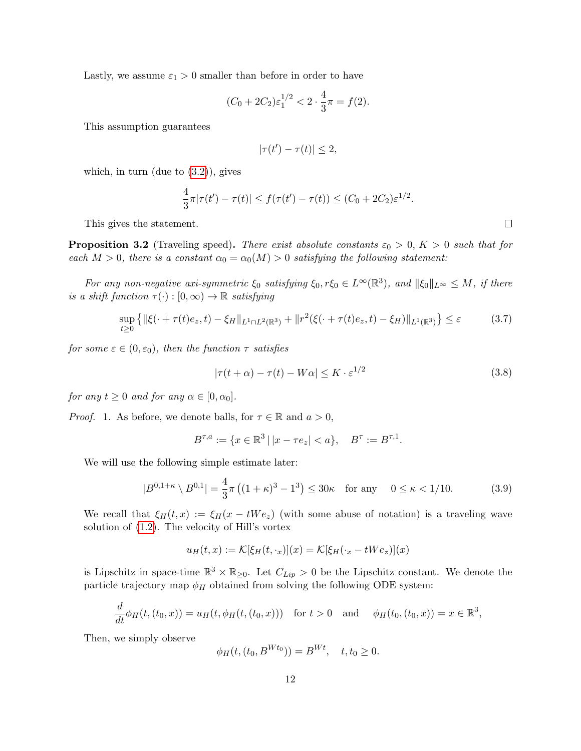Lastly, we assume  $\varepsilon_1 > 0$  smaller than before in order to have

$$
(C_0 + 2C_2)\varepsilon_1^{1/2} < 2 \cdot \frac{4}{3}\pi = f(2).
$$

This assumption guarantees

$$
|\tau(t') - \tau(t)| \le 2,
$$

which, in turn (due to  $(3.2)$ ), gives

$$
\frac{4}{3}\pi|\tau(t') - \tau(t)| \le f(\tau(t') - \tau(t)) \le (C_0 + 2C_2)\varepsilon^{1/2}.
$$

This gives the statement.

<span id="page-11-0"></span>**Proposition 3.2** (Traveling speed). There exist absolute constants  $\varepsilon_0 > 0$ ,  $K > 0$  such that for each  $M > 0$ , there is a constant  $\alpha_0 = \alpha_0(M) > 0$  satisfying the following statement:

For any non-negative axi-symmetric  $\xi_0$  satisfying  $\xi_0, r\xi_0 \in L^{\infty}(\mathbb{R}^3)$ , and  $\|\xi_0\|_{L^{\infty}} \leq M$ , if there is a shift function  $\tau(\cdot): [0, \infty) \to \mathbb{R}$  satisfying

$$
\sup_{t\geq 0} \left\{ \|\xi(\cdot + \tau(t)e_z, t) - \xi_H\|_{L^1 \cap L^2(\mathbb{R}^3)} + \|r^2(\xi(\cdot + \tau(t)e_z, t) - \xi_H)\|_{L^1(\mathbb{R}^3)} \right\} \leq \varepsilon \tag{3.7}
$$

<span id="page-11-1"></span>for some  $\varepsilon \in (0, \varepsilon_0)$ , then the function  $\tau$  satisfies

$$
|\tau(t+\alpha) - \tau(t) - W\alpha| \le K \cdot \varepsilon^{1/2}
$$
\n(3.8)

for any  $t \geq 0$  and for any  $\alpha \in [0, \alpha_0]$ .

*Proof.* 1. As before, we denote balls, for  $\tau \in \mathbb{R}$  and  $a > 0$ ,

$$
B^{\tau,a} := \{ x \in \mathbb{R}^3 \, | \, |x - \tau e_z| < a \}, \quad B^\tau := B^{\tau,1}.
$$

We will use the following simple estimate later:

<span id="page-11-3"></span>
$$
|B^{0,1+\kappa} \setminus B^{0,1}| = \frac{4}{3}\pi \left( (1+\kappa)^3 - 1^3 \right) \le 30\kappa \quad \text{for any} \quad 0 \le \kappa < 1/10. \tag{3.9}
$$

We recall that  $\xi_H(t,x) := \xi_H(x - tWe_z)$  (with some abuse of notation) is a traveling wave solution of [\(1.2\)](#page-1-0). The velocity of Hill's vortex

$$
u_H(t,x) := \mathcal{K}[\xi_H(t,\cdot_x)](x) = \mathcal{K}[\xi_H(\cdot_x - tWe_z)](x)
$$

is Lipschitz in space-time  $\mathbb{R}^3 \times \mathbb{R}_{\geq 0}$ . Let  $C_{Lip} > 0$  be the Lipschitz constant. We denote the particle trajectory map  $\phi_H$  obtained from solving the following ODE system:

$$
\frac{d}{dt}\phi_H(t,(t_0,x)) = u_H(t,\phi_H(t,(t_0,x))) \text{ for } t > 0 \text{ and } \phi_H(t_0,(t_0,x)) = x \in \mathbb{R}^3,
$$

Then, we simply observe

$$
\phi_H(t, (t_0, B^{Wt_0})) = B^{Wt}, \quad t, t_0 \ge 0.
$$

<span id="page-11-2"></span> $\Box$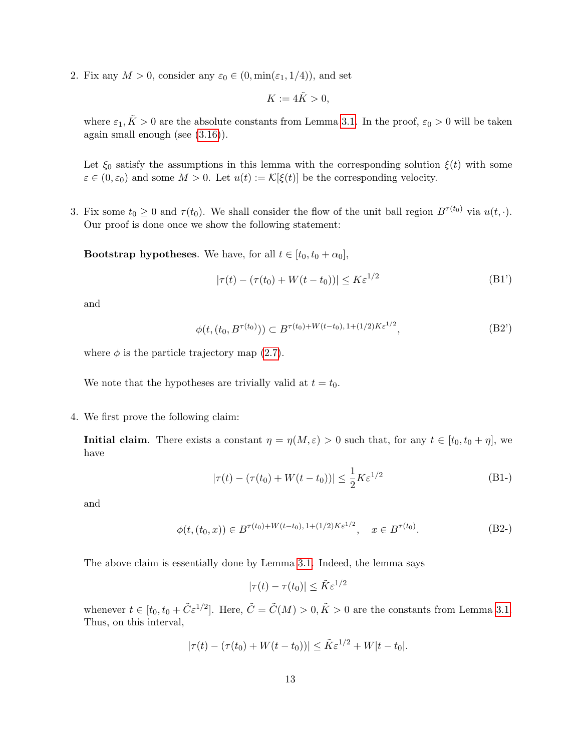2. Fix any  $M > 0$ , consider any  $\varepsilon_0 \in (0, \min(\varepsilon_1, 1/4))$ , and set

$$
K := 4\tilde{K} > 0,
$$

where  $\varepsilon_1, \tilde{K} > 0$  are the absolute constants from Lemma [3.1.](#page-9-0) In the proof,  $\varepsilon_0 > 0$  will be taken again small enough (see [\(3.16\)](#page-16-0)).

Let  $\xi_0$  satisfy the assumptions in this lemma with the corresponding solution  $\xi(t)$  with some  $\varepsilon \in (0, \varepsilon_0)$  and some  $M > 0$ . Let  $u(t) := \mathcal{K}[\xi(t)]$  be the corresponding velocity.

3. Fix some  $t_0 \geq 0$  and  $\tau(t_0)$ . We shall consider the flow of the unit ball region  $B^{\tau(t_0)}$  via  $u(t, \cdot)$ . Our proof is done once we show the following statement:

<span id="page-12-0"></span>**Bootstrap hypotheses.** We have, for all  $t \in [t_0, t_0 + \alpha_0]$ ,

$$
|\tau(t) - (\tau(t_0) + W(t - t_0))| \le K \varepsilon^{1/2}
$$
\n(B1')

and

$$
\phi(t, (t_0, B^{\tau(t_0)})) \subset B^{\tau(t_0) + W(t - t_0), 1 + (1/2)K\varepsilon^{1/2}}, \tag{B2'}
$$

where  $\phi$  is the particle trajectory map [\(2.7\)](#page-8-0).

We note that the hypotheses are trivially valid at  $t = t_0$ .

4. We first prove the following claim:

**Initial claim.** There exists a constant  $\eta = \eta(M, \varepsilon) > 0$  such that, for any  $t \in [t_0, t_0 + \eta]$ , we have

$$
|\tau(t) - (\tau(t_0) + W(t - t_0))| \le \frac{1}{2} K \varepsilon^{1/2}
$$
 (B1-)

and

$$
\phi(t, (t_0, x)) \in B^{\tau(t_0) + W(t - t_0), 1 + (1/2)K\varepsilon^{1/2}}, \quad x \in B^{\tau(t_0)}.
$$
 (B2-)

The above claim is essentially done by Lemma [3.1.](#page-9-0) Indeed, the lemma says

$$
|\tau(t) - \tau(t_0)| \le \tilde{K}\varepsilon^{1/2}
$$

whenever  $t \in [t_0, t_0 + \tilde{C} \varepsilon^{1/2}]$ . Here,  $\tilde{C} = \tilde{C}(M) > 0, \tilde{K} > 0$  are the constants from Lemma [3.1.](#page-9-0) Thus, on this interval,

$$
|\tau(t) - (\tau(t_0) + W(t - t_0))| \le \tilde{K} \varepsilon^{1/2} + W|t - t_0|.
$$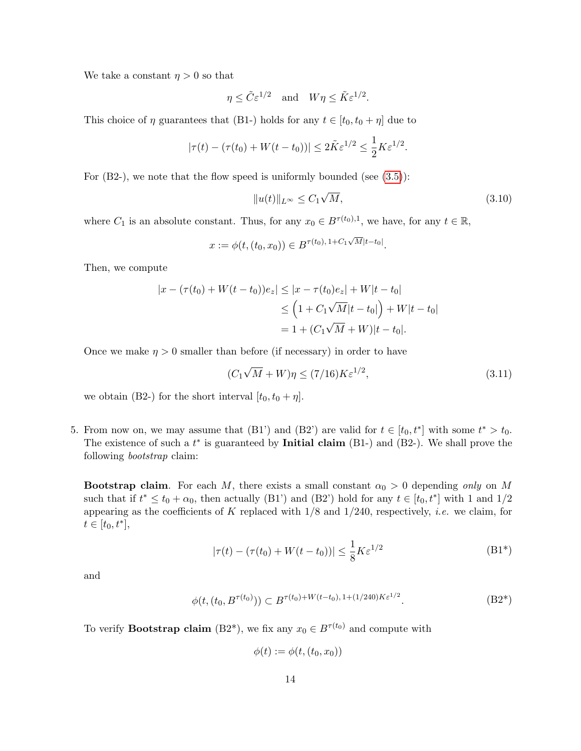We take a constant  $\eta > 0$  so that

$$
\eta \leq \tilde{C} \varepsilon^{1/2}
$$
 and  $W\eta \leq \tilde{K} \varepsilon^{1/2}$ .

This choice of  $\eta$  guarantees that (B1-) holds for any  $t \in [t_0, t_0 + \eta]$  due to

$$
|\tau(t) - (\tau(t_0) + W(t - t_0))| \le 2\tilde{K}\varepsilon^{1/2} \le \frac{1}{2}K\varepsilon^{1/2}.
$$

For  $(B2-)$ , we note that the flow speed is uniformly bounded (see  $(3.5)$ ):

$$
||u(t)||_{L^{\infty}} \leq C_1 \sqrt{M}, \qquad (3.10)
$$

where  $C_1$  is an absolute constant. Thus, for any  $x_0 \in B^{\tau(t_0),1}$ , we have, for any  $t \in \mathbb{R}$ ,

$$
x := \phi(t, (t_0, x_0)) \in B^{\tau(t_0), 1 + C_1 \sqrt{M}|t - t_0|}.
$$

Then, we compute

$$
|x - (\tau(t_0) + W(t - t_0))e_z| \le |x - \tau(t_0)e_z| + W|t - t_0|
$$
  
\n
$$
\le (1 + C_1\sqrt{M}|t - t_0|) + W|t - t_0|
$$
  
\n
$$
= 1 + (C_1\sqrt{M} + W)|t - t_0|.
$$

Once we make  $\eta > 0$  smaller than before (if necessary) in order to have

<span id="page-13-0"></span>
$$
(C_1\sqrt{M} + W)\eta \le (7/16)K\varepsilon^{1/2},\tag{3.11}
$$

we obtain (B2-) for the short interval  $[t_0, t_0 + \eta]$ .

5. From now on, we may assume that (B1') and (B2') are valid for  $t \in [t_0, t^*]$  with some  $t^* > t_0$ . The existence of such a  $t^*$  is guaranteed by **Initial claim** (B1-) and (B2-). We shall prove the following bootstrap claim:

**Bootstrap claim.** For each M, there exists a small constant  $\alpha_0 > 0$  depending only on M such that if  $t^* \le t_0 + \alpha_0$ , then actually (B1') and (B2') hold for any  $t \in [t_0, t^*]$  with 1 and 1/2 appearing as the coefficients of K replaced with  $1/8$  and  $1/240$ , respectively, *i.e.* we claim, for  $t \in [t_0, t^*],$ 

$$
|\tau(t) - (\tau(t_0) + W(t - t_0))| \le \frac{1}{8} K \varepsilon^{1/2}
$$
 (B1<sup>\*</sup>)

<span id="page-13-1"></span>and

$$
\phi(t, (t_0, B^{\tau(t_0)})) \subset B^{\tau(t_0) + W(t - t_0), 1 + (1/240)K\varepsilon^{1/2}}.
$$
 (B2<sup>\*</sup>)

To verify **Bootstrap claim** (B2<sup>\*</sup>), we fix any  $x_0 \in B^{\tau(t_0)}$  and compute with

$$
\phi(t) := \phi(t, (t_0, x_0))
$$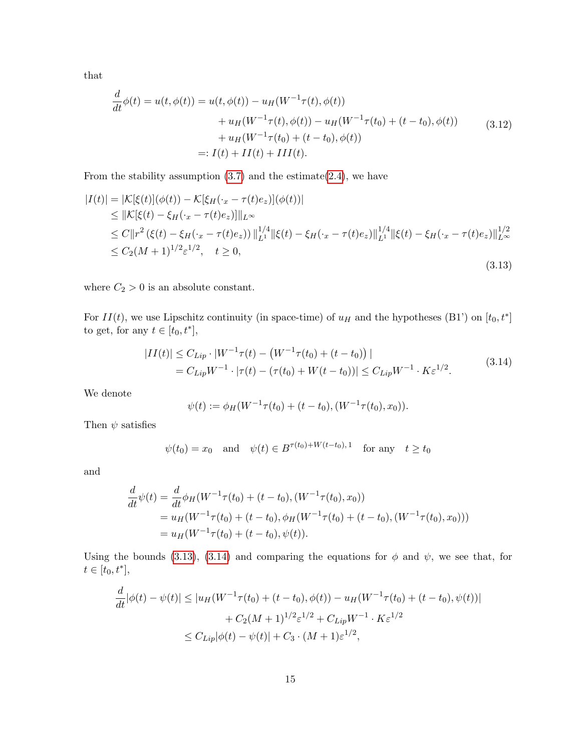that

$$
\frac{d}{dt}\phi(t) = u(t, \phi(t)) = u(t, \phi(t)) - u_H(W^{-1}\tau(t), \phi(t)) \n+ u_H(W^{-1}\tau(t), \phi(t)) - u_H(W^{-1}\tau(t_0) + (t - t_0), \phi(t)) \n+ u_H(W^{-1}\tau(t_0) + (t - t_0), \phi(t)) \n=: I(t) + II(t) + III(t).
$$
\n(3.12)

From the stability assumption  $(3.7)$  and the estimate $(2.4)$ , we have

<span id="page-14-0"></span>
$$
|I(t)| = |\mathcal{K}[\xi(t)](\phi(t)) - \mathcal{K}[\xi_H(\cdot_x - \tau(t)e_z)](\phi(t))|
$$
  
\n
$$
\leq ||\mathcal{K}[\xi(t) - \xi_H(\cdot_x - \tau(t)e_z)]||_{L^{\infty}}
$$
  
\n
$$
\leq C||r^2(\xi(t) - \xi_H(\cdot_x - \tau(t)e_z))||_{L^1}^{1/4}||\xi(t) - \xi_H(\cdot_x - \tau(t)e_z)||_{L^1}^{1/4}||\xi(t) - \xi_H(\cdot_x - \tau(t)e_z)||_{L^{\infty}}^{1/2}
$$
  
\n
$$
\leq C_2(M+1)^{1/2}\varepsilon^{1/2}, \quad t \geq 0,
$$
\n(3.13)

where  $C_2 > 0$  is an absolute constant.

For  $II(t)$ , we use Lipschitz continuity (in space-time) of  $u_H$  and the hypotheses (B1') on  $[t_0, t^*]$ to get, for any  $t \in [t_0, t^*],$ 

$$
|II(t)| \leq C_{Lip} \cdot |W^{-1}\tau(t) - (W^{-1}\tau(t_0) + (t - t_0))|
$$
  
=  $C_{Lip}W^{-1} \cdot |\tau(t) - (\tau(t_0) + W(t - t_0))| \leq C_{Lip}W^{-1} \cdot K\varepsilon^{1/2}.$  (3.14)

<span id="page-14-1"></span>We denote

$$
\psi(t) := \phi_H(W^{-1}\tau(t_0) + (t - t_0), (W^{-1}\tau(t_0), x_0)).
$$

Then  $\psi$  satisfies

$$
\psi(t_0) = x_0 \quad \text{and} \quad \psi(t) \in B^{\tau(t_0) + W(t - t_0), 1} \quad \text{for any} \quad t \ge t_0
$$

and

$$
\frac{d}{dt}\psi(t) = \frac{d}{dt}\phi_H(W^{-1}\tau(t_0) + (t - t_0), (W^{-1}\tau(t_0), x_0))
$$
\n
$$
= u_H(W^{-1}\tau(t_0) + (t - t_0), \phi_H(W^{-1}\tau(t_0) + (t - t_0), (W^{-1}\tau(t_0), x_0)))
$$
\n
$$
= u_H(W^{-1}\tau(t_0) + (t - t_0), \psi(t)).
$$

Using the bounds [\(3.13\)](#page-14-0), [\(3.14\)](#page-14-1) and comparing the equations for  $\phi$  and  $\psi$ , we see that, for  $t \in [t_0, t^*],$ 

$$
\frac{d}{dt}|\phi(t) - \psi(t)| \le |u_H(W^{-1}\tau(t_0) + (t - t_0), \phi(t)) - u_H(W^{-1}\tau(t_0) + (t - t_0), \psi(t))|
$$
  
+  $C_2(M + 1)^{1/2} \varepsilon^{1/2} + C_{Lip}W^{-1} \cdot K\varepsilon^{1/2}$   
 $\le C_{Lip}|\phi(t) - \psi(t)| + C_3 \cdot (M + 1)\varepsilon^{1/2},$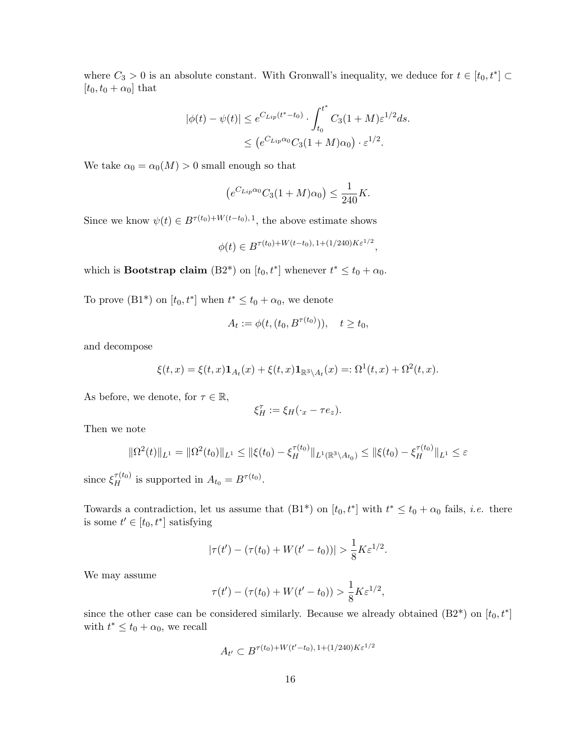where  $C_3 > 0$  is an absolute constant. With Gronwall's inequality, we deduce for  $t \in [t_0, t^*]$  $[t_0, t_0 + \alpha_0]$  that

$$
|\phi(t) - \psi(t)| \le e^{C_{Lip}(t^* - t_0)} \cdot \int_{t_0}^{t^*} C_3(1 + M) \varepsilon^{1/2} ds.
$$
  

$$
\le (e^{C_{Lip}\alpha_0} C_3(1 + M)\alpha_0) \cdot \varepsilon^{1/2}.
$$

We take  $\alpha_0 = \alpha_0(M) > 0$  small enough so that

$$
(e^{C_{Lip}\alpha_0}C_3(1+M)\alpha_0) \le \frac{1}{240}K.
$$

Since we know  $\psi(t) \in B^{\tau(t_0)+W(t-t_0),1}$ , the above estimate shows

$$
\phi(t) \in B^{\tau(t_0) + W(t - t_0), 1 + (1/240)K\varepsilon^{1/2}},
$$

which is **Bootstrap claim** (B2<sup>\*</sup>) on  $[t_0, t^*]$  whenever  $t^* \le t_0 + \alpha_0$ .

To prove  $(B1^*)$  on  $[t_0, t^*]$  when  $t^* \leq t_0 + \alpha_0$ , we denote

$$
A_t := \phi(t, (t_0, B^{\tau(t_0)})), \quad t \ge t_0,
$$

and decompose

$$
\xi(t,x)=\xi(t,x)\mathbf{1}_{A_t}(x)+\xi(t,x)\mathbf{1}_{\mathbb{R}^3\backslash A_t}(x)=:\Omega^1(t,x)+\Omega^2(t,x).
$$

As before, we denote, for  $\tau \in \mathbb{R}$ ,

$$
\xi_H^{\tau} := \xi_H(\cdot_x - \tau e_z).
$$

Then we note

$$
\|\Omega^2(t)\|_{L^1} = \|\Omega^2(t_0)\|_{L^1} \le \|\xi(t_0) - \xi_H^{\tau(t_0)}\|_{L^1(\mathbb{R}^3 \setminus A_{t_0})} \le \|\xi(t_0) - \xi_H^{\tau(t_0)}\|_{L^1} \le \varepsilon
$$

since  $\xi_H^{\tau(t_0)}$  is supported in  $A_{t_0} = B^{\tau(t_0)}$ .

Towards a contradiction, let us assume that  $(B1^*)$  on  $[t_0, t^*]$  with  $t^* \leq t_0 + \alpha_0$  fails, *i.e.* there is some  $t' \in [t_0, t^*]$  satisfying

$$
|\tau(t') - (\tau(t_0) + W(t'-t_0))| > \frac{1}{8} K \varepsilon^{1/2}.
$$

We may assume

$$
\tau(t') - (\tau(t_0) + W(t'-t_0)) > \frac{1}{8} K \varepsilon^{1/2},
$$

since the other case can be considered similarly. Because we already obtained  $(B2^*)$  on  $[t_0, t^*]$ with  $t^* \leq t_0 + \alpha_0$ , we recall

$$
A_{t'} \subset B^{\tau(t_0) + W(t'-t_0), 1 + (1/240)K\varepsilon^{1/2}}
$$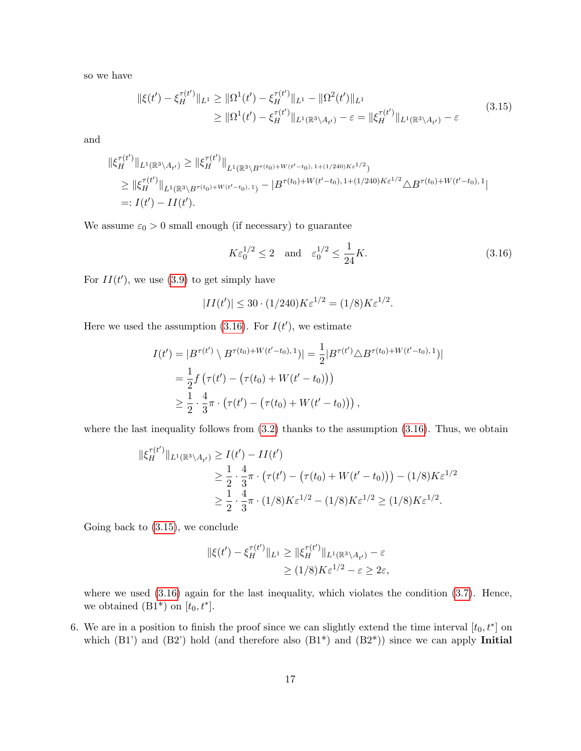<span id="page-16-1"></span>so we have

$$
\|\xi(t') - \xi_H^{\tau(t')} \|_{L^1} \geq \|\Omega^1(t') - \xi_H^{\tau(t')} \|_{L^1} - \|\Omega^2(t')\|_{L^1}
$$
  
\n
$$
\geq \|\Omega^1(t') - \xi_H^{\tau(t')} \|_{L^1(\mathbb{R}^3 \setminus A_{t'})} - \varepsilon = \|\xi_H^{\tau(t')} \|_{L^1(\mathbb{R}^3 \setminus A_{t'})} - \varepsilon
$$
\n(3.15)

and

$$
\begin{split} \|\xi_{H}^{\tau(t')} \|_{L^{1}(\mathbb{R}^{3} \setminus A_{t'})} &\geq \|\xi_{H}^{\tau(t')} \|_{L^{1}(\mathbb{R}^{3} \setminus B^{\tau(t_{0})+W(t'-t_{0}),1+(1/240)K\epsilon^{1/2}})} \\ &\geq \|\xi_{H}^{\tau(t')} \|_{L^{1}(\mathbb{R}^{3} \setminus B^{\tau(t_{0})+W(t'-t_{0}),1})} - |B^{\tau(t_{0})+W(t'-t_{0}),1+(1/240)K\epsilon^{1/2}} \triangle B^{\tau(t_{0})+W(t'-t_{0}),1}| \\ &=: I(t') - II(t'). \end{split}
$$

We assume  $\varepsilon_0 > 0$  small enough (if necessary) to guarantee

<span id="page-16-0"></span>
$$
K\varepsilon_0^{1/2} \le 2 \quad \text{and} \quad \varepsilon_0^{1/2} \le \frac{1}{24}K. \tag{3.16}
$$

For  $II(t')$ , we use [\(3.9\)](#page-11-3) to get simply have

$$
|II(t')| \le 30 \cdot (1/240) K \varepsilon^{1/2} = (1/8) K \varepsilon^{1/2}.
$$

Here we used the assumption  $(3.16)$ . For  $I(t')$ , we estimate

$$
I(t') = |B^{\tau(t')} \setminus B^{\tau(t_0) + W(t'-t_0), 1})| = \frac{1}{2} |B^{\tau(t')} \triangle B^{\tau(t_0) + W(t'-t_0), 1})|
$$
  
=  $\frac{1}{2} f (\tau(t') - (\tau(t_0) + W(t'-t_0)))$   
 $\geq \frac{1}{2} \cdot \frac{4}{3} \pi \cdot (\tau(t') - (\tau(t_0) + W(t'-t_0)))$ ,

where the last inequality follows from  $(3.2)$  thanks to the assumption  $(3.16)$ . Thus, we obtain

$$
\|\xi_H^{\tau(t')} \|_{L^1(\mathbb{R}^3 \setminus A_{t'})} \ge I(t') - II(t')
$$
  
\n
$$
\ge \frac{1}{2} \cdot \frac{4}{3}\pi \cdot (\tau(t') - (\tau(t_0) + W(t' - t_0))) - (1/8)K\varepsilon^{1/2}
$$
  
\n
$$
\ge \frac{1}{2} \cdot \frac{4}{3}\pi \cdot (1/8)K\varepsilon^{1/2} - (1/8)K\varepsilon^{1/2} \ge (1/8)K\varepsilon^{1/2}.
$$

Going back to [\(3.15\)](#page-16-1), we conclude

$$
\begin{aligned} \|\xi(t') - \xi_H^{\tau(t')} \|_{L^1} &\ge \|\xi_H^{\tau(t')} \|_{L^1(\mathbb{R}^3 \setminus A_{t'})} - \varepsilon \\ &\ge (1/8) K \varepsilon^{1/2} - \varepsilon \ge 2\varepsilon, \end{aligned}
$$

where we used  $(3.16)$  again for the last inequality, which violates the condition  $(3.7)$ . Hence, we obtained  $(B1^*)$  on  $[t_0, t^*]$ .

6. We are in a position to finish the proof since we can slightly extend the time interval  $[t_0, t^*]$  on which  $(B1')$  and  $(B2')$  hold (and therefore also  $(B1^*)$  and  $(B2^*)$ ) since we can apply Initial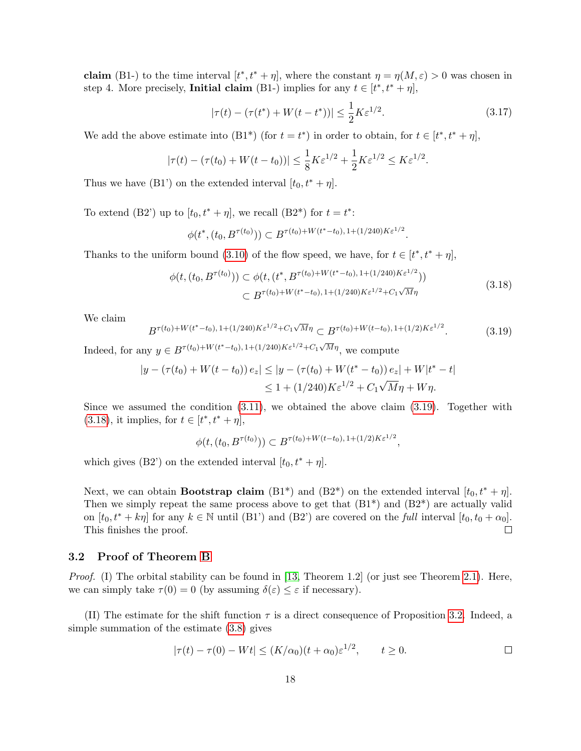**claim** (B1-) to the time interval  $[t^*, t^* + \eta]$ , where the constant  $\eta = \eta(M, \varepsilon) > 0$  was chosen in step 4. More precisely, **Initial claim** (B1-) implies for any  $t \in [t^*, t^* + \eta]$ ,

$$
|\tau(t) - (\tau(t^*) + W(t - t^*))| \le \frac{1}{2} K \varepsilon^{1/2}.
$$
 (3.17)

We add the above estimate into  $(B1^*)$  (for  $t = t^*$ ) in order to obtain, for  $t \in [t^*, t^* + \eta]$ ,

$$
|\tau(t) - (\tau(t_0) + W(t - t_0))| \le \frac{1}{8} K \varepsilon^{1/2} + \frac{1}{2} K \varepsilon^{1/2} \le K \varepsilon^{1/2}.
$$

Thus we have (B1') on the extended interval  $[t_0, t^* + \eta]$ .

To extend (B2') up to  $[t_0, t^* + \eta]$ , we recall (B2<sup>\*</sup>) for  $t = t^*$ :

$$
\phi(t^*, (t_0, B^{\tau(t_0)})) \subset B^{\tau(t_0) + W(t^* - t_0), 1 + (1/240)K\varepsilon^{1/2}}.
$$

<span id="page-17-1"></span>Thanks to the uniform bound [\(3.10\)](#page-12-0) of the flow speed, we have, for  $t \in [t^*, t^* + \eta]$ ,

$$
\phi(t, (t_0, B^{\tau(t_0)})) \subset \phi(t, (t^*, B^{\tau(t_0)+W(t^*-t_0), 1+(1/240)K\varepsilon^{1/2}}))
$$
  

$$
\subset B^{\tau(t_0)+W(t^*-t_0), 1+(1/240)K\varepsilon^{1/2}+C_1\sqrt{M}\eta}
$$
(3.18)

We claim

<span id="page-17-0"></span>
$$
B^{\tau(t_0)+W(t^*-t_0),1+(1/240)K\varepsilon^{1/2}+C_1\sqrt{M}\eta} \subset B^{\tau(t_0)+W(t-t_0),1+(1/2)K\varepsilon^{1/2}}.\tag{3.19}
$$

Indeed, for any  $y \in B^{\tau(t_0)+W(t^*-t_0), 1+(1/240)K\varepsilon^{1/2}+C_1\sqrt{M}\eta}$ , we compute

$$
|y - (\tau(t_0) + W(t - t_0)) e_z| \le |y - (\tau(t_0) + W(t^* - t_0)) e_z| + W(t^* - t)
$$
  

$$
\le 1 + (1/240) K \varepsilon^{1/2} + C_1 \sqrt{M} \eta + W \eta.
$$

Since we assumed the condition  $(3.11)$ , we obtained the above claim  $(3.19)$ . Together with [\(3.18\)](#page-17-1), it implies, for  $t \in [t^*, t^* + \eta]$ ,

$$
\phi(t, (t_0, B^{\tau(t_0)})) \subset B^{\tau(t_0) + W(t-t_0), 1 + (1/2)K\varepsilon^{1/2}},
$$

which gives (B2') on the extended interval  $[t_0, t^* + \eta]$ .

Next, we can obtain **Bootstrap claim** (B1<sup>\*</sup>) and (B2<sup>\*</sup>) on the extended interval  $[t_0, t^* + \eta]$ . Then we simply repeat the same process above to get that  $(B1^*)$  and  $(B2^*)$  are actually valid on  $[t_0, t^* + k\eta]$  for any  $k \in \mathbb{N}$  until (B1') and (B2') are covered on the full interval  $[t_0, t_0 + \alpha_0]$ . This finishes the proof.  $\Box$ 

#### 3.2 Proof of Theorem [B](#page-2-2)

*Proof.* (I) The orbital stability can be found in [\[13,](#page-28-0) Theorem 1.2] (or just see Theorem [2.1\)](#page-7-1). Here, we can simply take  $\tau(0) = 0$  (by assuming  $\delta(\varepsilon) \leq \varepsilon$  if necessary).

(II) The estimate for the shift function  $\tau$  is a direct consequence of Proposition [3.2.](#page-11-0) Indeed, a simple summation of the estimate [\(3.8\)](#page-11-1) gives

$$
|\tau(t) - \tau(0) - Wt| \le (K/\alpha_0)(t + \alpha_0)\varepsilon^{1/2}, \qquad t \ge 0.
$$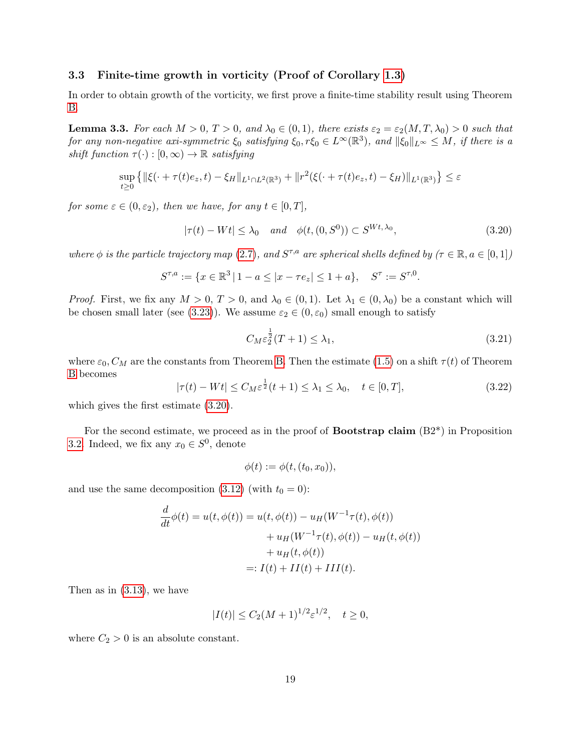#### 3.3 Finite-time growth in vorticity (Proof of Corollary [1.3\)](#page-3-0)

In order to obtain growth of the vorticity, we first prove a finite-time stability result using Theorem [B.](#page-2-2)

<span id="page-18-3"></span>**Lemma 3.3.** For each  $M > 0$ ,  $T > 0$ , and  $\lambda_0 \in (0, 1)$ , there exists  $\varepsilon_2 = \varepsilon_2(M, T, \lambda_0) > 0$  such that for any non-negative axi-symmetric  $\xi_0$  satisfying  $\xi_0, r\xi_0 \in L^\infty(\mathbb{R}^3)$ , and  $\|\xi_0\|_{L^\infty} \leq M$ , if there is a shift function  $\tau(\cdot): [0, \infty) \to \mathbb{R}$  satisfying

$$
\sup_{t\geq 0} \left\{ \|\xi(\cdot + \tau(t)e_z, t) - \xi_H\|_{L^1 \cap L^2(\mathbb{R}^3)} + \|r^2(\xi(\cdot + \tau(t)e_z, t) - \xi_H)\|_{L^1(\mathbb{R}^3)} \right\} \leq \varepsilon
$$

<span id="page-18-0"></span>for some  $\varepsilon \in (0, \varepsilon_2)$ , then we have, for any  $t \in [0, T]$ ,

$$
|\tau(t) - Wt| \le \lambda_0 \quad and \quad \phi(t, (0, S^0)) \subset S^{Wt, \lambda_0}, \tag{3.20}
$$

where  $\phi$  is the particle trajectory map [\(2.7\)](#page-8-0), and  $S^{\tau,a}$  are spherical shells defined by  $(\tau \in \mathbb{R}, a \in [0,1])$ 

$$
S^{\tau,a} := \{ x \in \mathbb{R}^3 \, | \, 1 - a \le |x - \tau e_z| \le 1 + a \}, \quad S^{\tau} := S^{\tau,0}.
$$

*Proof.* First, we fix any  $M > 0$ ,  $T > 0$ , and  $\lambda_0 \in (0, 1)$ . Let  $\lambda_1 \in (0, \lambda_0)$  be a constant which will be chosen small later (see [\(3.23\)](#page-19-0)). We assume  $\varepsilon_2 \in (0, \varepsilon_0)$  small enough to satisfy

<span id="page-18-2"></span>
$$
C_M \varepsilon_2^{\frac{1}{2}}(T+1) \le \lambda_1,\tag{3.21}
$$

where  $\varepsilon_0$ ,  $C_M$  are the constants from Theorem [B.](#page-2-2) Then the estimate [\(1.5\)](#page-2-0) on a shift  $\tau(t)$  of Theorem [B](#page-2-2) becomes

<span id="page-18-1"></span>
$$
|\tau(t) - Wt| \le C_M \varepsilon^{\frac{1}{2}}(t+1) \le \lambda_1 \le \lambda_0, \quad t \in [0, T],
$$
\n(3.22)

which gives the first estimate [\(3.20\)](#page-18-0).

For the second estimate, we proceed as in the proof of **Bootstrap claim**  $(B2^*)$  in Proposition [3.2.](#page-11-0) Indeed, we fix any  $x_0 \in S^0$ , denote

$$
\phi(t) := \phi(t, (t_0, x_0)),
$$

and use the same decomposition [\(3.12\)](#page-13-1) (with  $t_0 = 0$ ):

$$
\frac{d}{dt}\phi(t) = u(t, \phi(t)) = u(t, \phi(t)) - u_H(W^{-1}\tau(t), \phi(t)) \n+ u_H(W^{-1}\tau(t), \phi(t)) - u_H(t, \phi(t)) \n+ u_H(t, \phi(t)) \n=: I(t) + II(t) + III(t).
$$

Then as in [\(3.13\)](#page-14-0), we have

$$
|I(t)| \le C_2(M+1)^{1/2} \varepsilon^{1/2}, \quad t \ge 0,
$$

where  $C_2 > 0$  is an absolute constant.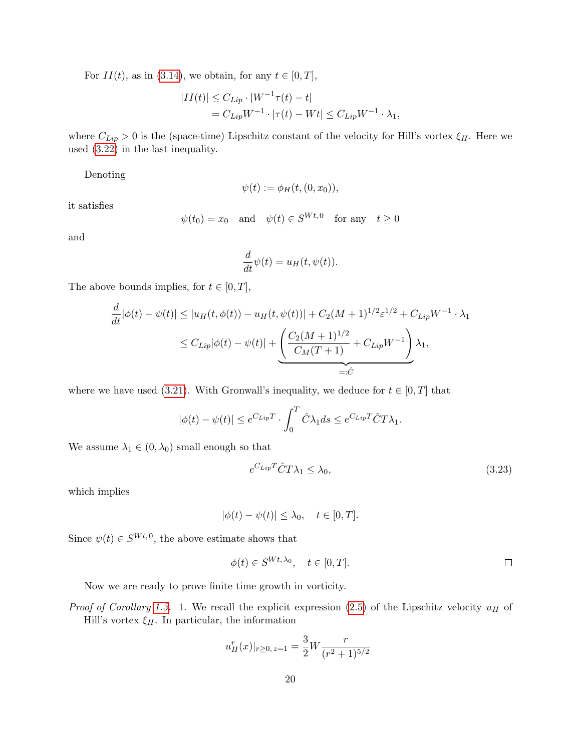For  $II(t)$ , as in [\(3.14\)](#page-14-1), we obtain, for any  $t \in [0, T]$ ,

$$
|II(t)| \leq C_{Lip} \cdot |W^{-1}\tau(t) - t|
$$
  
=  $C_{Lip}W^{-1} \cdot |\tau(t) - Wt| \leq C_{Lip}W^{-1} \cdot \lambda_1$ ,

where  $C_{Lip} > 0$  is the (space-time) Lipschitz constant of the velocity for Hill's vortex  $\xi_H$ . Here we used [\(3.22\)](#page-18-1) in the last inequality.

Denoting

$$
\psi(t) := \phi_H(t,(0,x_0)),
$$

it satisfies

$$
\psi(t_0) = x_0
$$
 and  $\psi(t) \in S^{Wt,0}$  for any  $t \ge 0$ 

and

$$
\frac{d}{dt}\psi(t) = u_H(t, \psi(t)).
$$

The above bounds implies, for  $t \in [0, T]$ ,

$$
\frac{d}{dt}|\phi(t) - \psi(t)| \le |u_H(t, \phi(t)) - u_H(t, \psi(t))| + C_2(M+1)^{1/2} \varepsilon^{1/2} + C_{Lip} W^{-1} \cdot \lambda_1
$$
  
\n
$$
\le C_{Lip}|\phi(t) - \psi(t)| + \underbrace{\left(\frac{C_2(M+1)^{1/2}}{C_M(T+1)} + C_{Lip} W^{-1}\right)}_{=: \hat{C}} \lambda_1,
$$

where we have used [\(3.21\)](#page-18-2). With Gronwall's inequality, we deduce for  $t \in [0, T]$  that

$$
|\phi(t) - \psi(t)| \le e^{C_{Lip}T} \cdot \int_0^T \hat{C} \lambda_1 ds \le e^{C_{Lip}T} \hat{C} T \lambda_1.
$$

We assume  $\lambda_1 \in (0, \lambda_0)$  small enough so that

<span id="page-19-0"></span>
$$
e^{C_{Lip}T}\hat{C}T\lambda_1 \le \lambda_0,\tag{3.23}
$$

which implies

$$
|\phi(t) - \psi(t)| \le \lambda_0, \quad t \in [0, T].
$$

Since  $\psi(t) \in S^{Wt,0}$ , the above estimate shows that

$$
\phi(t) \in S^{Wt, \lambda_0}, \quad t \in [0, T].
$$

Now we are ready to prove finite time growth in vorticity.

*Proof of Corollary [1.3.](#page-3-0)* 1. We recall the explicit expression [\(2.5\)](#page-6-3) of the Lipschitz velocity  $u_H$  of Hill's vortex  $\xi_H$ . In particular, the information

$$
u_H^r(x)|_{r\geq 0, z=1} = \frac{3}{2}W \frac{r}{(r^2+1)^{5/2}}
$$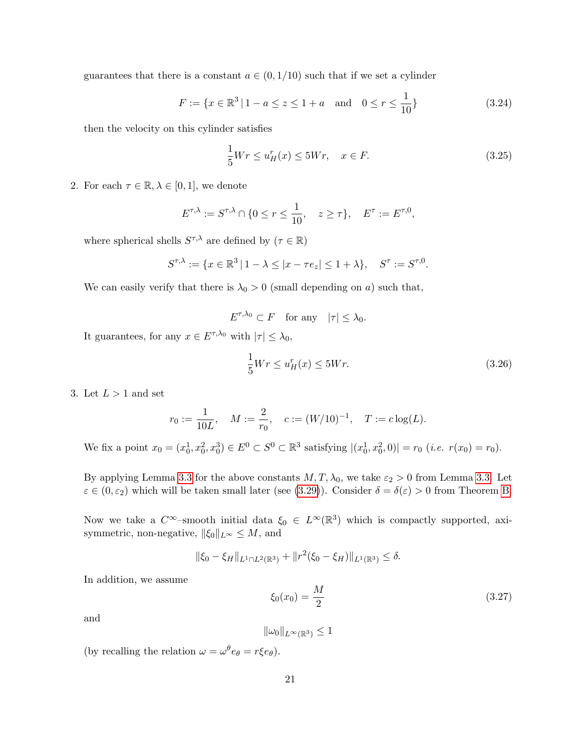guarantees that there is a constant  $a \in (0, 1/10)$  such that if we set a cylinder

$$
F := \{ x \in \mathbb{R}^3 \mid 1 - a \le z \le 1 + a \quad \text{and} \quad 0 \le r \le \frac{1}{10} \}
$$
 (3.24)

then the velocity on this cylinder satisfies

$$
\frac{1}{5}Wr \le u_H^r(x) \le 5Wr, \quad x \in F. \tag{3.25}
$$

2. For each  $\tau \in \mathbb{R}, \lambda \in [0,1]$ , we denote

$$
E^{\tau,\lambda} := S^{\tau,\lambda} \cap \{0 \le r \le \frac{1}{10}, \quad z \ge \tau\}, \quad E^{\tau} := E^{\tau,0},
$$

where spherical shells  $S^{\tau,\lambda}$  are defined by  $(\tau \in \mathbb{R})$ 

$$
S^{\tau,\lambda} := \{ x \in \mathbb{R}^3 \, | \, 1 - \lambda \le |x - \tau e_z| \le 1 + \lambda \}, \quad S^{\tau} := S^{\tau,0}.
$$

We can easily verify that there is  $\lambda_0 > 0$  (small depending on a) such that,

$$
E^{\tau,\lambda_0} \subset F \quad \text{for any} \quad |\tau| \le \lambda_0.
$$

It guarantees, for any  $x \in E^{\tau,\lambda_0}$  with  $|\tau| \leq \lambda_0$ ,

<span id="page-20-0"></span>
$$
\frac{1}{5}Wr \le u_H^r(x) \le 5Wr.
$$
\n
$$
(3.26)
$$

3. Let  $L > 1$  and set

$$
r_0 := \frac{1}{10L}
$$
,  $M := \frac{2}{r_0}$ ,  $c := (W/10)^{-1}$ ,  $T := c \log(L)$ .

We fix a point  $x_0 = (x_0^1, x_0^2, x_0^3) \in E^0 \subset S^0 \subset \mathbb{R}^3$  satisfying  $|(x_0^1, x_0^2, 0)| = r_0$  (*i.e.*  $r(x_0) = r_0$ ).

By applying Lemma [3.3](#page-18-3) for the above constants  $M, T, \lambda_0$ , we take  $\varepsilon_2 > 0$  from Lemma [3.3.](#page-18-3) Let  $\varepsilon \in (0, \varepsilon_2)$  which will be taken small later (see [\(3.29\)](#page-21-0)). Consider  $\delta = \delta(\varepsilon) > 0$  from Theorem [B.](#page-2-2)

Now we take a  $C^{\infty}$ -smooth initial data  $\xi_0 \in L^{\infty}(\mathbb{R}^3)$  which is compactly supported, axisymmetric, non-negative,  $||\xi_0||_{L^{\infty}} \leq M$ , and

$$
\|\xi_0 - \xi_H\|_{L^1 \cap L^2(\mathbb{R}^3)} + \|r^2(\xi_0 - \xi_H)\|_{L^1(\mathbb{R}^3)} \le \delta.
$$

In addition, we assume

$$
\xi_0(x_0) = \frac{M}{2} \tag{3.27}
$$

and

 $\|\omega_0\|_{L^{\infty}(\mathbb{R}^3)} \leq 1$ 

(by recalling the relation  $\omega = \omega^{\theta} e_{\theta} = r \xi e_{\theta}$ ).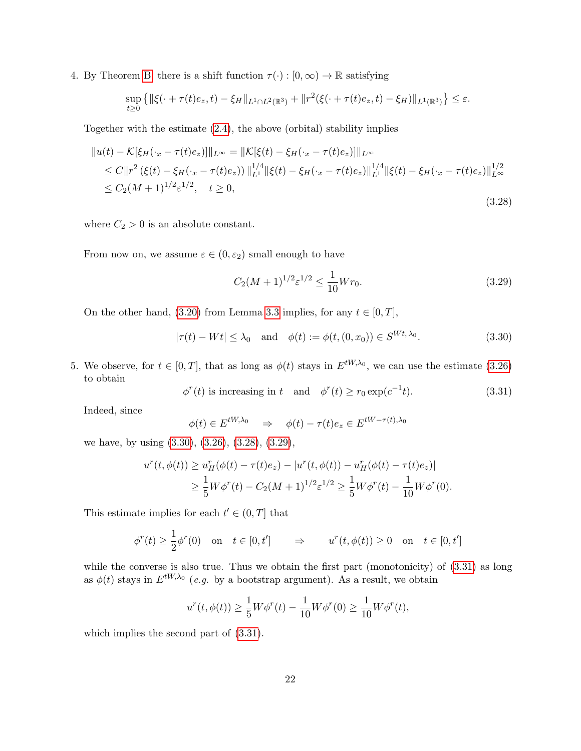4. By Theorem [B,](#page-2-2) there is a shift function  $\tau(\cdot) : [0, \infty) \to \mathbb{R}$  satisfying

$$
\sup_{t\geq 0} \left\{ \|\xi(\cdot + \tau(t)e_z, t) - \xi_H\|_{L^1 \cap L^2(\mathbb{R}^3)} + \|r^2(\xi(\cdot + \tau(t)e_z, t) - \xi_H)\|_{L^1(\mathbb{R}^3)} \right\} \leq \varepsilon.
$$

Together with the estimate [\(2.4\)](#page-6-4), the above (orbital) stability implies

<span id="page-21-2"></span>
$$
||u(t) - K[\xi_H(\cdot_x - \tau(t)e_z)]||_{L^{\infty}} = ||K[\xi(t) - \xi_H(\cdot_x - \tau(t)e_z)]||_{L^{\infty}}
$$
  
\n
$$
\leq C||r^2 (\xi(t) - \xi_H(\cdot_x - \tau(t)e_z))||_{L^1}^{1/4} ||\xi(t) - \xi_H(\cdot_x - \tau(t)e_z)||_{L^1}^{1/4} ||\xi(t) - \xi_H(\cdot_x - \tau(t)e_z)||_{L^{\infty}}^{1/2}
$$
  
\n
$$
\leq C_2(M+1)^{1/2} \varepsilon^{1/2}, \quad t \geq 0,
$$
\n(3.28)

where  $C_2 > 0$  is an absolute constant.

From now on, we assume  $\varepsilon \in (0, \varepsilon_2)$  small enough to have

<span id="page-21-0"></span>
$$
C_2(M+1)^{1/2} \varepsilon^{1/2} \le \frac{1}{10} W r_0.
$$
\n(3.29)

<span id="page-21-1"></span>On the other hand, [\(3.20\)](#page-18-0) from Lemma [3.3](#page-18-3) implies, for any  $t \in [0, T]$ ,

$$
|\tau(t) - Wt| \le \lambda_0 \quad \text{and} \quad \phi(t) := \phi(t, (0, x_0)) \in S^{Wt, \lambda_0}.
$$
 (3.30)

5. We observe, for  $t \in [0, T]$ , that as long as  $\phi(t)$  stays in  $E^{tW, \lambda_0}$ , we can use the estimate [\(3.26\)](#page-20-0) to obtain

> <span id="page-21-3"></span> $\phi^r(t)$  is increasing in t and  $\phi^r(t) \ge r_0 \exp(c^{-1})$  $(3.31)$

Indeed, since

$$
\phi(t) \in E^{tW, \lambda_0} \quad \Rightarrow \quad \phi(t) - \tau(t)e_z \in E^{tW - \tau(t), \lambda_0}
$$

we have, by using [\(3.30\)](#page-21-1), [\(3.26\)](#page-20-0), [\(3.28\)](#page-21-2), [\(3.29\)](#page-21-0),

$$
u^{r}(t, \phi(t)) \geq u^{r}_{H}(\phi(t) - \tau(t)e_{z}) - |u^{r}(t, \phi(t)) - u^{r}_{H}(\phi(t) - \tau(t)e_{z})|
$$
  
\n
$$
\geq \frac{1}{5}W\phi^{r}(t) - C_{2}(M+1)^{1/2}\varepsilon^{1/2} \geq \frac{1}{5}W\phi^{r}(t) - \frac{1}{10}W\phi^{r}(0).
$$

This estimate implies for each  $t' \in (0, T]$  that

$$
\phi^r(t) \ge \frac{1}{2}\phi^r(0) \quad \text{on} \quad t \in [0, t'] \qquad \Rightarrow \qquad u^r(t, \phi(t)) \ge 0 \quad \text{on} \quad t \in [0, t']
$$

while the converse is also true. Thus we obtain the first part (monotonicity) of  $(3.31)$  as long as  $\phi(t)$  stays in  $E^{tW,\lambda_0}$  (e.g. by a bootstrap argument). As a result, we obtain

$$
u^{r}(t, \phi(t)) \geq \frac{1}{5}W\phi^{r}(t) - \frac{1}{10}W\phi^{r}(0) \geq \frac{1}{10}W\phi^{r}(t),
$$

which implies the second part of  $(3.31)$ .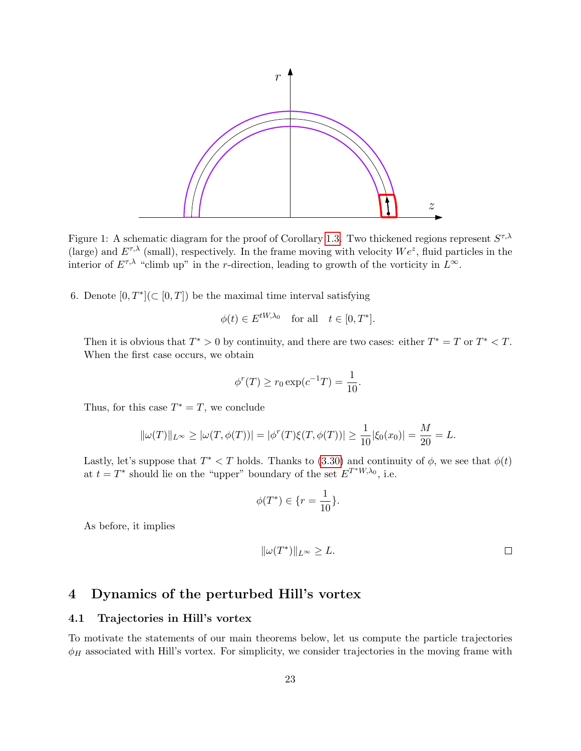

<span id="page-22-0"></span>Figure 1: A schematic diagram for the proof of Corollary [1.3.](#page-3-0) Two thickened regions represent  $S^{\tau,\lambda}$ (large) and  $E^{\tau,\lambda}$  (small), respectively. In the frame moving with velocity  $We^z$ , fluid particles in the interior of  $E^{\tau,\lambda}$  "climb up" in the r-direction, leading to growth of the vorticity in  $L^{\infty}$ .

6. Denote  $[0, T^*] (\subset [0, T])$  be the maximal time interval satisfying

$$
\phi(t) \in E^{tW,\lambda_0} \quad \text{for all} \quad t \in [0, T^*].
$$

Then it is obvious that  $T^* > 0$  by continuity, and there are two cases: either  $T^* = T$  or  $T^* < T$ . When the first case occurs, we obtain

$$
\phi^r(T) \ge r_0 \exp(c^{-1}T) = \frac{1}{10}.
$$

Thus, for this case  $T^* = T$ , we conclude

$$
\|\omega(T)\|_{L^{\infty}} \ge |\omega(T, \phi(T))| = |\phi^{r}(T)\xi(T, \phi(T))| \ge \frac{1}{10}|\xi_{0}(x_{0})| = \frac{M}{20} = L.
$$

Lastly, let's suppose that  $T^* < T$  holds. Thanks to [\(3.30\)](#page-21-1) and continuity of  $\phi$ , we see that  $\phi(t)$ at  $t = T^*$  should lie on the "upper" boundary of the set  $E^{T^*W,\lambda_0}$ , i.e.

$$
\phi(T^*) \in \{r = \frac{1}{10}\}.
$$

As before, it implies

$$
\|\omega(T^*)\|_{L^\infty} \ge L.
$$

# 4 Dynamics of the perturbed Hill's vortex

#### 4.1 Trajectories in Hill's vortex

To motivate the statements of our main theorems below, let us compute the particle trajectories  $\phi_H$  associated with Hill's vortex. For simplicity, we consider trajectories in the moving frame with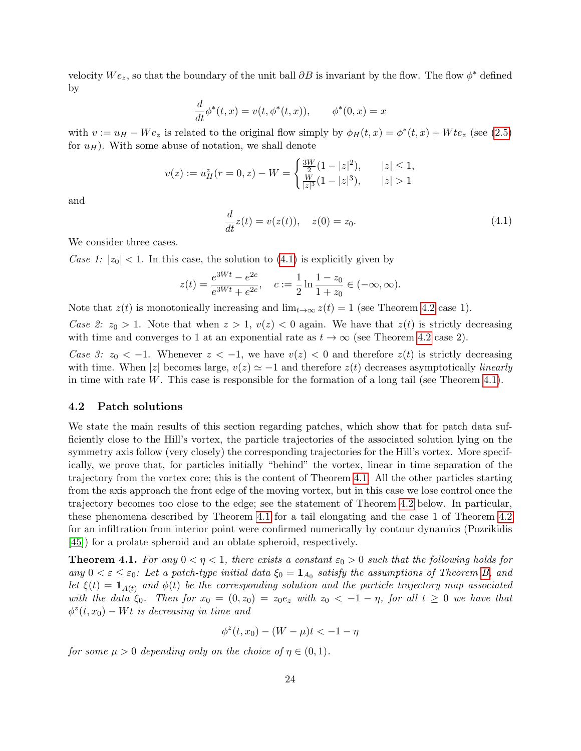velocity  $We_z$ , so that the boundary of the unit ball  $\partial B$  is invariant by the flow. The flow  $\phi^*$  defined by

$$
\frac{d}{dt}\phi^*(t,x) = v(t, \phi^*(t,x)), \qquad \phi^*(0,x) = x
$$

with  $v := u_H - We_z$  is related to the original flow simply by  $\phi_H(t,x) = \phi^*(t,x) + Wte_z$  (see [\(2.5\)](#page-6-3) for  $u_H$ ). With some abuse of notation, we shall denote

$$
v(z) := u_H^z(r=0, z) - W = \begin{cases} \frac{3W}{2}(1-|z|^2), & |z| \le 1, \\ \frac{W}{|z|^3}(1-|z|^3), & |z| > 1 \end{cases}
$$

<span id="page-23-0"></span>and

$$
\frac{d}{dt}z(t) = v(z(t)), \quad z(0) = z_0.
$$
\n(4.1)

We consider three cases.

Case 1:  $|z_0|$  < 1. In this case, the solution to [\(4.1\)](#page-23-0) is explicitly given by

$$
z(t) = \frac{e^{3Wt} - e^{2c}}{e^{3Wt} + e^{2c}}, \quad c := \frac{1}{2} \ln \frac{1 - z_0}{1 + z_0} \in (-\infty, \infty).
$$

Note that  $z(t)$  is monotonically increasing and  $\lim_{t\to\infty} z(t) = 1$  (see Theorem [4.2](#page-24-1) case 1).

Case 2:  $z_0 > 1$ . Note that when  $z > 1$ ,  $v(z) < 0$  again. We have that  $z(t)$  is strictly decreasing with time and converges to 1 at an exponential rate as  $t \to \infty$  (see Theorem [4.2](#page-24-1) case 2).

Case 3:  $z_0 < -1$ . Whenever  $z < -1$ , we have  $v(z) < 0$  and therefore  $z(t)$  is strictly decreasing with time. When |z| becomes large,  $v(z) \simeq -1$  and therefore  $z(t)$  decreases asymptotically *linearly* in time with rate  $W$ . This case is responsible for the formation of a long tail (see Theorem [4.1\)](#page-23-1).

#### 4.2 Patch solutions

We state the main results of this section regarding patches, which show that for patch data sufficiently close to the Hill's vortex, the particle trajectories of the associated solution lying on the symmetry axis follow (very closely) the corresponding trajectories for the Hill's vortex. More specifically, we prove that, for particles initially "behind" the vortex, linear in time separation of the trajectory from the vortex core; this is the content of Theorem [4.1.](#page-23-1) All the other particles starting from the axis approach the front edge of the moving vortex, but in this case we lose control once the trajectory becomes too close to the edge; see the statement of Theorem [4.2](#page-24-1) below. In particular, these phenomena described by Theorem [4.1](#page-23-1) for a tail elongating and the case 1 of Theorem [4.2](#page-24-1) for an infiltration from interior point were confirmed numerically by contour dynamics (Pozrikidis [\[45\]](#page-30-0)) for a prolate spheroid and an oblate spheroid, respectively.

<span id="page-23-1"></span>**Theorem 4.1.** For any  $0 < \eta < 1$ , there exists a constant  $\varepsilon_0 > 0$  such that the following holds for any  $0 < \varepsilon \leq \varepsilon_0$ : Let a patch-type initial data  $\xi_0 = \mathbf{1}_{A_0}$  satisfy the assumptions of Theorem [B,](#page-2-2) and let  $\xi(t) = \mathbf{1}_{A(t)}$  and  $\phi(t)$  be the corresponding solution and the particle trajectory map associated with the data  $\xi_0$ . Then for  $x_0 = (0, z_0) = z_0 e_z$  with  $z_0 < -1 - \eta$ , for all  $t \geq 0$  we have that  $\phi^z(t, x_0) - Wt$  is decreasing in time and

$$
\phi^z(t, x_0) - (W - \mu)t < -1 - \eta
$$

for some  $\mu > 0$  depending only on the choice of  $\eta \in (0,1)$ .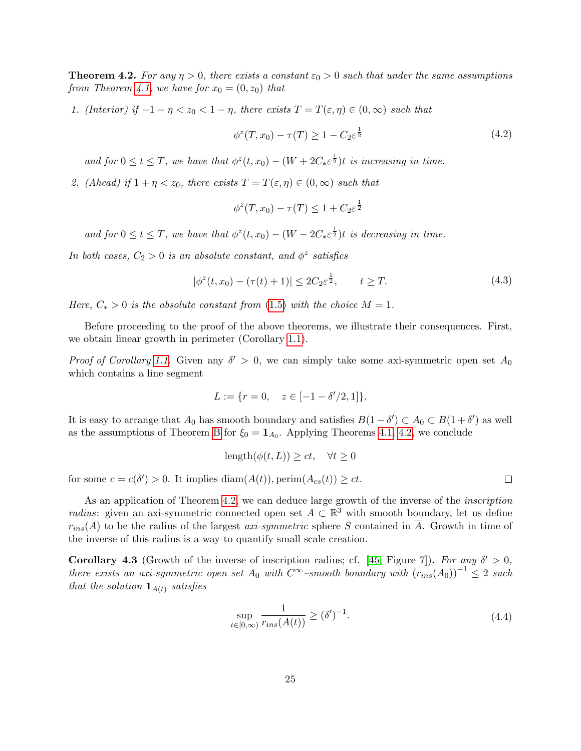<span id="page-24-1"></span>**Theorem 4.2.** For any  $\eta > 0$ , there exists a constant  $\varepsilon_0 > 0$  such that under the same assumptions from Theorem [4.1,](#page-23-1) we have for  $x_0 = (0, z_0)$  that

<span id="page-24-3"></span>1. (Interior) if  $-1 + \eta < z_0 < 1 - \eta$ , there exists  $T = T(\varepsilon, \eta) \in (0, \infty)$  such that

$$
\phi^z(T, x_0) - \tau(T) \ge 1 - C_2 \varepsilon^{\frac{1}{2}} \tag{4.2}
$$

and for  $0 \le t \le T$ , we have that  $\phi^z(t, x_0) - (W + 2C_* \varepsilon^{\frac{1}{2}})t$  is increasing in time.

2. (Ahead) if  $1 + \eta < z_0$ , there exists  $T = T(\varepsilon, \eta) \in (0, \infty)$  such that

$$
\phi^z(T, x_0) - \tau(T) \le 1 + C_2 \varepsilon^{\frac{1}{2}}
$$

and for  $0 \le t \le T$ , we have that  $\phi^z(t, x_0) - (W - 2C_* \varepsilon^{\frac{1}{2}})t$  is decreasing in time.

<span id="page-24-4"></span>In both cases,  $C_2 > 0$  is an absolute constant, and  $\phi^z$  satisfies

$$
|\phi^{z}(t, x_{0}) - (\tau(t) + 1)| \leq 2C_{2} \varepsilon^{\frac{1}{2}}, \qquad t \geq T.
$$
 (4.3)

Here,  $C_* > 0$  is the absolute constant from [\(1.5\)](#page-2-0) with the choice  $M = 1$ .

Before proceeding to the proof of the above theorems, we illustrate their consequences. First, we obtain linear growth in perimeter (Corollary [1.1\)](#page-2-1).

*Proof of Corollary [1.1.](#page-2-1)* Given any  $\delta' > 0$ , we can simply take some axi-symmetric open set  $A_0$ which contains a line segment

$$
L := \{ r = 0, \quad z \in [-1 - \delta'/2, 1] \}.
$$

It is easy to arrange that  $A_0$  has smooth boundary and satisfies  $B(1 - \delta') \subset A_0 \subset B(1 + \delta')$  as well as the assumptions of Theorem [B](#page-2-2) for  $\xi_0 = \mathbf{1}_{A_0}$ . Applying Theorems [4.1,](#page-23-1) [4.2,](#page-24-1) we conclude

$$
length(\phi(t, L)) \ge ct, \quad \forall t \ge 0
$$

for some  $c = c(\delta') > 0$ . It implies  $\text{diam}(A(t))$ , perim $(A_{cs}(t)) \ge ct$ .

As an application of Theorem [4.2,](#page-24-1) we can deduce large growth of the inverse of the *inscription radius*: given an axi-symmetric connected open set  $A \subset \mathbb{R}^3$  with smooth boundary, let us define  $r_{ins}(A)$  to be the radius of the largest *axi-symmetric* sphere S contained in  $\overline{A}$ . Growth in time of the inverse of this radius is a way to quantify small scale creation.

<span id="page-24-2"></span><span id="page-24-0"></span>**Corollary 4.3** (Growth of the inverse of inscription radius; cf. [\[45,](#page-30-0) Figure 7]). For any  $\delta' > 0$ , there exists an axi-symmetric open set  $A_0$  with  $C^{\infty}$ –smooth boundary with  $(r_{ins}(A_0))^{-1} \leq 2$  such that the solution  $\mathbf{1}_{A(t)}$  satisfies

$$
\sup_{t \in [0,\infty)} \frac{1}{r_{ins}(A(t))} \ge (\delta')^{-1}.
$$
\n(4.4)

 $\Box$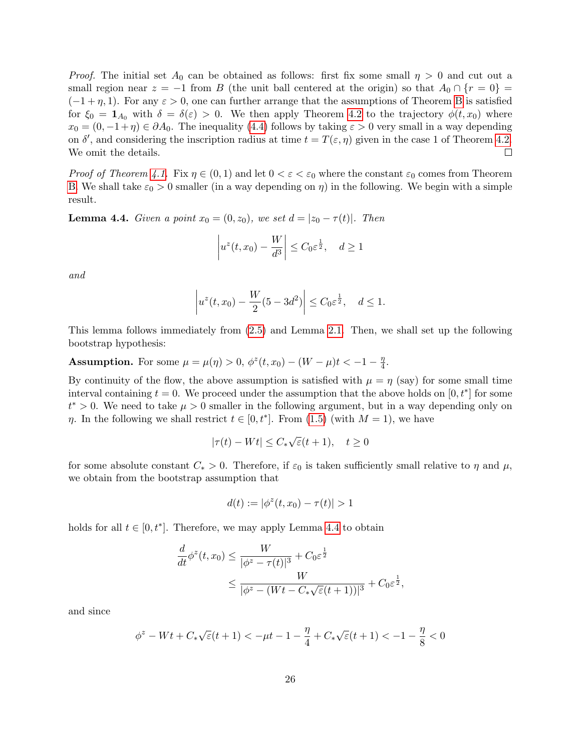*Proof.* The initial set  $A_0$  can be obtained as follows: first fix some small  $\eta > 0$  and cut out a small region near  $z = -1$  from B (the unit ball centered at the origin) so that  $A_0 \cap \{r = 0\}$  $(-1+\eta, 1)$ . For any  $\varepsilon > 0$ , one can further arrange that the assumptions of Theorem [B](#page-2-2) is satisfied for  $\xi_0 = \mathbf{1}_{A_0}$  with  $\delta = \delta(\varepsilon) > 0$ . We then apply Theorem [4.2](#page-24-1) to the trajectory  $\phi(t, x_0)$  where  $x_0 = (0, -1 + \eta) \in \partial A_0$ . The inequality [\(4.4\)](#page-24-2) follows by taking  $\varepsilon > 0$  very small in a way depending on  $\delta'$ , and considering the inscription radius at time  $t = T(\varepsilon, \eta)$  given in the case 1 of Theorem [4.2.](#page-24-1) We omit the details.  $\Box$ 

*Proof of Theorem [4.1.](#page-23-1)* Fix  $\eta \in (0,1)$  and let  $0 < \varepsilon < \varepsilon_0$  where the constant  $\varepsilon_0$  comes from Theorem [B.](#page-2-2) We shall take  $\varepsilon_0 > 0$  smaller (in a way depending on  $\eta$ ) in the following. We begin with a simple result.

<span id="page-25-0"></span>**Lemma 4.4.** Given a point  $x_0 = (0, z_0)$ , we set  $d = |z_0 - \tau(t)|$ . Then

$$
\left| u^z(t, x_0) - \frac{W}{d^3} \right| \le C_0 \varepsilon^{\frac{1}{2}}, \quad d \ge 1
$$

and

$$
|u^{z}(t,x_{0}) - \frac{W}{2}(5 - 3d^{2})| \leq C_{0} \varepsilon^{\frac{1}{2}}, \quad d \leq 1.
$$

This lemma follows immediately from [\(2.5\)](#page-6-3) and Lemma [2.1.](#page-6-5) Then, we shall set up the following bootstrap hypothesis:

**Assumption.** For some  $\mu = \mu(\eta) > 0$ ,  $\phi^z(t, x_0) - (W - \mu)t < -1 - \frac{\eta}{4}$  $\frac{\eta}{4}.$ 

By continuity of the flow, the above assumption is satisfied with  $\mu = \eta$  (say) for some small time interval containing  $t = 0$ . We proceed under the assumption that the above holds on  $[0, t^*]$  for some  $t^* > 0$ . We need to take  $\mu > 0$  smaller in the following argument, but in a way depending only on  $\eta$ . In the following we shall restrict  $t \in [0, t^*]$ . From [\(1.5\)](#page-2-0) (with  $M = 1$ ), we have

$$
|\tau(t) - Wt| \le C_* \sqrt{\varepsilon}(t+1), \quad t \ge 0
$$

for some absolute constant  $C_* > 0$ . Therefore, if  $\varepsilon_0$  is taken sufficiently small relative to  $\eta$  and  $\mu$ , we obtain from the bootstrap assumption that

$$
d(t) := |\phi^z(t, x_0) - \tau(t)| > 1
$$

holds for all  $t \in [0, t^*]$ . Therefore, we may apply Lemma [4.4](#page-25-0) to obtain

$$
\frac{d}{dt}\phi^z(t,x_0) \le \frac{W}{|\phi^z - \tau(t)|^3} + C_0 \varepsilon^{\frac{1}{2}}
$$
\n
$$
\le \frac{W}{|\phi^z - (Wt - C_*\sqrt{\varepsilon}(t+1))|^3} + C_0 \varepsilon^{\frac{1}{2}},
$$

and since

$$
\phi^z-Wt+C_*\sqrt{\varepsilon}(t+1)<-\mu t-1-\frac{\eta}{4}+C_*\sqrt{\varepsilon}(t+1)<-1-\frac{\eta}{8}<0
$$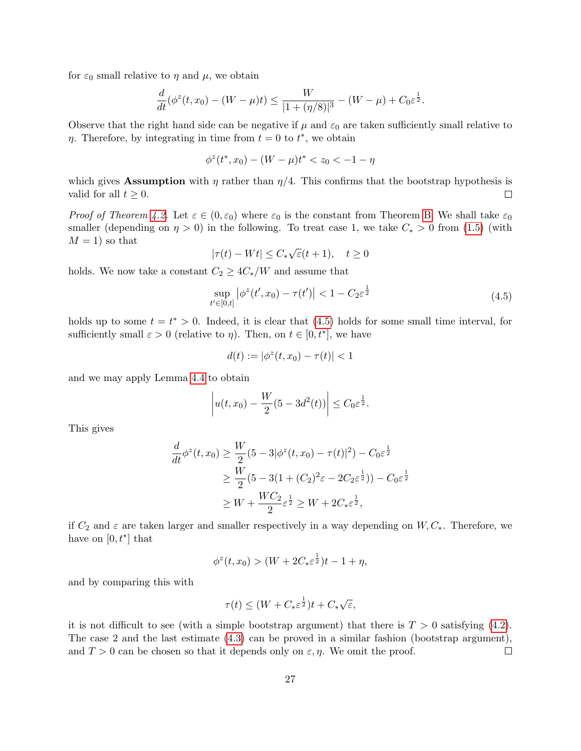for  $\varepsilon_0$  small relative to  $\eta$  and  $\mu$ , we obtain

$$
\frac{d}{dt}(\phi^z(t,x_0) - (W - \mu)t) \le \frac{W}{|1 + (\eta/8)|^3} - (W - \mu) + C_0 \varepsilon^{\frac{1}{2}}.
$$

Observe that the right hand side can be negative if  $\mu$  and  $\varepsilon_0$  are taken sufficiently small relative to  $\eta$ . Therefore, by integrating in time from  $t = 0$  to  $t^*$ , we obtain

$$
\phi^z(t^*, x_0) - (W - \mu)t^* < z_0 < -1 - \eta
$$

which gives Assumption with  $\eta$  rather than  $\eta/4$ . This confirms that the bootstrap hypothesis is valid for all  $t \geq 0$ .  $\Box$ 

*Proof of Theorem [4.2.](#page-24-1)* Let  $\varepsilon \in (0, \varepsilon_0)$  where  $\varepsilon_0$  is the constant from Theorem [B.](#page-2-2) We shall take  $\varepsilon_0$ smaller (depending on  $\eta > 0$ ) in the following. To treat case 1, we take  $C_* > 0$  from [\(1.5\)](#page-2-0) (with  $M = 1$ ) so that √

$$
|\tau(t) - Wt| \le C_* \sqrt{\varepsilon} (t+1), \quad t \ge 0
$$

<span id="page-26-0"></span>holds. We now take a constant  $C_2 \geq 4C_*/W$  and assume that

$$
\sup_{t' \in [0,t]} |\phi^z(t', x_0) - \tau(t')| < 1 - C_2 \varepsilon^{\frac{1}{2}} \tag{4.5}
$$

holds up to some  $t = t^* > 0$ . Indeed, it is clear that [\(4.5\)](#page-26-0) holds for some small time interval, for sufficiently small  $\varepsilon > 0$  (relative to  $\eta$ ). Then, on  $t \in [0, t^*]$ , we have

$$
d(t) := |\phi^z(t, x_0) - \tau(t)| < 1
$$

and we may apply Lemma [4.4](#page-25-0) to obtain

$$
|u(t, x_0) - \frac{W}{2}(5 - 3d^2(t))| \leq C_0 \varepsilon^{\frac{1}{2}}.
$$

This gives

$$
\frac{d}{dt}\phi^{z}(t,x_{0}) \ge \frac{W}{2}(5-3|\phi^{z}(t,x_{0}) - \tau(t)|^{2}) - C_{0}\varepsilon^{\frac{1}{2}}\n\n\ge \frac{W}{2}(5-3(1+(C_{2})^{2}\varepsilon - 2C_{2}\varepsilon^{\frac{1}{2}})) - C_{0}\varepsilon^{\frac{1}{2}}\n\n\ge W + \frac{WC_{2}}{2}\varepsilon^{\frac{1}{2}} \ge W + 2C_{*}\varepsilon^{\frac{1}{2}},
$$

if  $C_2$  and  $\varepsilon$  are taken larger and smaller respectively in a way depending on  $W, C_*$ . Therefore, we have on  $[0, t^*]$  that

$$
\phi^{z}(t, x_{0}) > (W + 2C_{*} \varepsilon^{\frac{1}{2}})t - 1 + \eta,
$$

and by comparing this with

$$
\tau(t) \le (W + C_* \varepsilon^{\frac{1}{2}})t + C_* \sqrt{\varepsilon},
$$

it is not difficult to see (with a simple bootstrap argument) that there is  $T > 0$  satisfying [\(4.2\)](#page-24-3). The case 2 and the last estimate [\(4.3\)](#page-24-4) can be proved in a similar fashion (bootstrap argument), and  $T > 0$  can be chosen so that it depends only on  $\varepsilon, \eta$ . We omit the proof.  $\Box$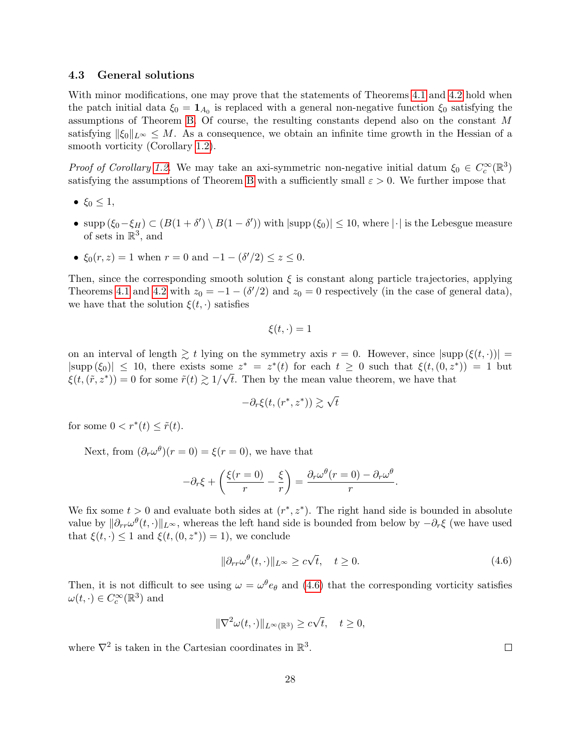#### 4.3 General solutions

With minor modifications, one may prove that the statements of Theorems [4.1](#page-23-1) and [4.2](#page-24-1) hold when the patch initial data  $\xi_0 = \mathbf{1}_{A_0}$  is replaced with a general non-negative function  $\xi_0$  satisfying the assumptions of Theorem [B.](#page-2-2) Of course, the resulting constants depend also on the constant M satisfying  $\|\xi_0\|_{L^{\infty}} \leq M$ . As a consequence, we obtain an infinite time growth in the Hessian of a smooth vorticity (Corollary [1.2\)](#page-2-4).

Proof of Corollary [1.2.](#page-2-4) We may take an axi-symmetric non-negative initial datum  $\xi_0 \in C_c^{\infty}(\mathbb{R}^3)$ satisfying the assumptions of Theorem [B](#page-2-2) with a sufficiently small  $\varepsilon > 0$ . We further impose that

- $\xi_0 \leq 1$ ,
- supp  $(\xi_0 \xi_H) \subset (B(1 + \delta') \setminus B(1 \delta'))$  with  $|\text{supp}(\xi_0)| \leq 10$ , where  $|\cdot|$  is the Lebesgue measure of sets in  $\mathbb{R}^3$ , and
- $\xi_0(r, z) = 1$  when  $r = 0$  and  $-1 (\delta'/2) \le z \le 0$ .

Then, since the corresponding smooth solution  $\xi$  is constant along particle trajectories, applying Theorems [4.1](#page-23-1) and [4.2](#page-24-1) with  $z_0 = -1 - (\delta'/2)$  and  $z_0 = 0$  respectively (in the case of general data), we have that the solution  $\xi(t, \cdot)$  satisfies

$$
\xi(t,\cdot)=1
$$

on an interval of length  $\geq t$  lying on the symmetry axis  $r = 0$ . However, since  $|\text{supp}(\xi(t, \cdot))|$  $|\text{supp}(\xi_0)| \leq 10$ , there exists some  $z^* = z^*(t)$  for each  $t \geq 0$  such that  $\xi(t,(0,z^*)) = 1$  but  $\xi(t,(\tilde{r},z^*))=0$  for some  $\tilde{r}(t) \gtrsim 1/\sqrt{t}$ . Then by the mean value theorem, we have that

$$
-\partial_r \xi(t,(r^*,z^*)) \gtrsim \sqrt{t}
$$

for some  $0 < r^*(t) \leq \tilde{r}(t)$ .

Next, from  $(\partial_r \omega^{\theta})(r=0) = \xi(r=0)$ , we have that

$$
-\partial_r \xi + \left(\frac{\xi(r=0)}{r} - \frac{\xi}{r}\right) = \frac{\partial_r \omega^{\theta}(r=0) - \partial_r \omega^{\theta}}{r}.
$$

We fix some  $t > 0$  and evaluate both sides at  $(r^*, z^*)$ . The right hand side is bounded in absolute value by  $\|\partial_{rr}\omega^{\theta}(t,\cdot)\|_{L^{\infty}}$ , whereas the left hand side is bounded from below by  $-\partial_r\xi$  (we have used that  $\xi(t, \cdot) \leq 1$  and  $\xi(t, (0, z^*)) = 1$ , we conclude

$$
\|\partial_{rr}\omega^{\theta}(t,\cdot)\|_{L^{\infty}} \ge c\sqrt{t}, \quad t \ge 0.
$$
\n(4.6)

<span id="page-27-0"></span>Then, it is not difficult to see using  $\omega = \omega^{\theta} e_{\theta}$  and [\(4.6\)](#page-27-0) that the corresponding vorticity satisfies  $\omega(t, \cdot) \in C_c^{\infty}(\mathbb{R}^3)$  and

$$
\|\nabla^2 \omega(t, \cdot)\|_{L^\infty(\mathbb{R}^3)} \ge c\sqrt{t}, \quad t \ge 0,
$$

where  $\nabla^2$  is taken in the Cartesian coordinates in  $\mathbb{R}^3$ .

 $\Box$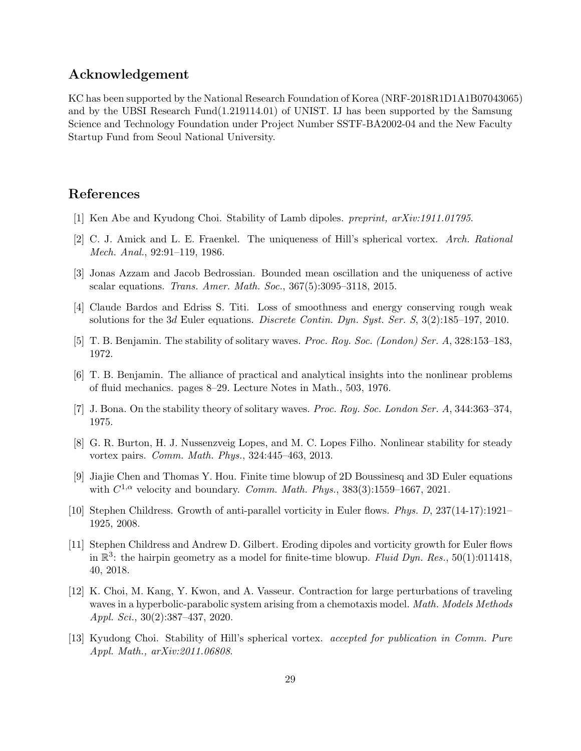# Acknowledgement

KC has been supported by the National Research Foundation of Korea (NRF-2018R1D1A1B07043065) and by the UBSI Research Fund(1.219114.01) of UNIST. IJ has been supported by the Samsung Science and Technology Foundation under Project Number SSTF-BA2002-04 and the New Faculty Startup Fund from Seoul National University.

# References

- <span id="page-28-4"></span>[1] Ken Abe and Kyudong Choi. Stability of Lamb dipoles. preprint, arXiv:1911.01795.
- <span id="page-28-2"></span>[2] C. J. Amick and L. E. Fraenkel. The uniqueness of Hill's spherical vortex. Arch. Rational Mech. Anal., 92:91–119, 1986.
- <span id="page-28-12"></span>[3] Jonas Azzam and Jacob Bedrossian. Bounded mean oscillation and the uniqueness of active scalar equations. Trans. Amer. Math. Soc., 367(5):3095–3118, 2015.
- <span id="page-28-9"></span>[4] Claude Bardos and Edriss S. Titi. Loss of smoothness and energy conserving rough weak solutions for the 3d Euler equations. Discrete Contin. Dyn. Syst. Ser. S, 3(2):185–197, 2010.
- <span id="page-28-5"></span>[5] T. B. Benjamin. The stability of solitary waves. Proc. Roy. Soc. (London) Ser. A, 328:153–183, 1972.
- <span id="page-28-1"></span>[6] T. B. Benjamin. The alliance of practical and analytical insights into the nonlinear problems of fluid mechanics. pages 8–29. Lecture Notes in Math., 503, 1976.
- <span id="page-28-6"></span>[7] J. Bona. On the stability theory of solitary waves. Proc. Roy. Soc. London Ser. A, 344:363–374, 1975.
- <span id="page-28-3"></span>[8] G. R. Burton, H. J. Nussenzveig Lopes, and M. C. Lopes Filho. Nonlinear stability for steady vortex pairs. Comm. Math. Phys., 324:445–463, 2013.
- <span id="page-28-8"></span>[9] Jiajie Chen and Thomas Y. Hou. Finite time blowup of 2D Boussinesq and 3D Euler equations with  $C^{1,\alpha}$  velocity and boundary. Comm. Math. Phys., 383(3):1559–1667, 2021.
- <span id="page-28-10"></span>[10] Stephen Childress. Growth of anti-parallel vorticity in Euler flows. Phys. D, 237(14-17):1921– 1925, 2008.
- <span id="page-28-11"></span>[11] Stephen Childress and Andrew D. Gilbert. Eroding dipoles and vorticity growth for Euler flows in  $\mathbb{R}^3$ : the hairpin geometry as a model for finite-time blowup. Fluid Dyn. Res., 50(1):011418, 40, 2018.
- <span id="page-28-7"></span>[12] K. Choi, M. Kang, Y. Kwon, and A. Vasseur. Contraction for large perturbations of traveling waves in a hyperbolic-parabolic system arising from a chemotaxis model. *Math. Models Methods* Appl. Sci., 30(2):387–437, 2020.
- <span id="page-28-0"></span>[13] Kyudong Choi. Stability of Hill's spherical vortex. accepted for publication in Comm. Pure Appl. Math., arXiv:2011.06808.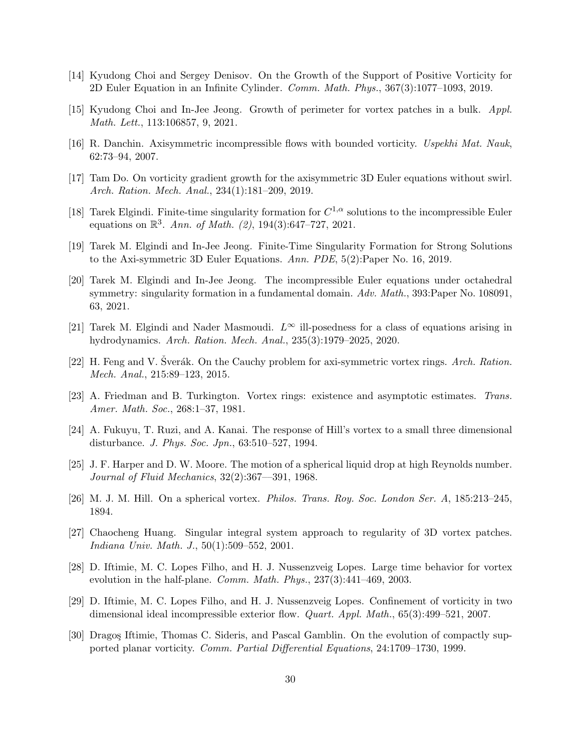- <span id="page-29-9"></span>[14] Kyudong Choi and Sergey Denisov. On the Growth of the Support of Positive Vorticity for 2D Euler Equation in an Infinite Cylinder. Comm. Math. Phys., 367(3):1077–1093, 2019.
- <span id="page-29-3"></span>[15] Kyudong Choi and In-Jee Jeong. Growth of perimeter for vortex patches in a bulk. Appl. Math. Lett., 113:106857, 9, 2021.
- <span id="page-29-16"></span>[16] R. Danchin. Axisymmetric incompressible flows with bounded vorticity. Uspekhi Mat. Nauk, 62:73–94, 2007.
- <span id="page-29-12"></span>[17] Tam Do. On vorticity gradient growth for the axisymmetric 3D Euler equations without swirl. Arch. Ration. Mech. Anal., 234(1):181–209, 2019.
- <span id="page-29-14"></span>[18] Tarek Elgindi. Finite-time singularity formation for  $C^{1,\alpha}$  solutions to the incompressible Euler equations on  $\mathbb{R}^3$ . Ann. of Math. (2), 194(3):647-727, 2021.
- <span id="page-29-10"></span>[19] Tarek M. Elgindi and In-Jee Jeong. Finite-Time Singularity Formation for Strong Solutions to the Axi-symmetric 3D Euler Equations. Ann. PDE, 5(2):Paper No. 16, 2019.
- <span id="page-29-11"></span>[20] Tarek M. Elgindi and In-Jee Jeong. The incompressible Euler equations under octahedral symmetry: singularity formation in a fundamental domain. Adv. Math., 393: Paper No. 108091, 63, 2021.
- <span id="page-29-13"></span>[21] Tarek M. Elgindi and Nader Masmoudi.  $L^{\infty}$  ill-posedness for a class of equations arising in hydrodynamics. Arch. Ration. Mech. Anal., 235(3):1979–2025, 2020.
- <span id="page-29-15"></span>[22] H. Feng and V. Sverák. On the Cauchy problem for axi-symmetric vortex rings. Arch. Ration. Mech. Anal., 215:89–123, 2015.
- <span id="page-29-5"></span>[23] A. Friedman and B. Turkington. Vortex rings: existence and asymptotic estimates. Trans. Amer. Math. Soc., 268:1–37, 1981.
- <span id="page-29-0"></span>[24] A. Fukuyu, T. Ruzi, and A. Kanai. The response of Hill's vortex to a small three dimensional disturbance. J. Phys. Soc. Jpn., 63:510–527, 1994.
- <span id="page-29-4"></span>[25] J. F. Harper and D. W. Moore. The motion of a spherical liquid drop at high Reynolds number. Journal of Fluid Mechanics, 32(2):367––391, 1968.
- <span id="page-29-1"></span>[26] M. J. M. Hill. On a spherical vortex. Philos. Trans. Roy. Soc. London Ser. A, 185:213–245, 1894.
- <span id="page-29-2"></span>[27] Chaocheng Huang. Singular integral system approach to regularity of 3D vortex patches. Indiana Univ. Math. J., 50(1):509–552, 2001.
- <span id="page-29-7"></span>[28] D. Iftimie, M. C. Lopes Filho, and H. J. Nussenzveig Lopes. Large time behavior for vortex evolution in the half-plane. Comm. Math. Phys., 237(3):441–469, 2003.
- <span id="page-29-8"></span>[29] D. Iftimie, M. C. Lopes Filho, and H. J. Nussenzveig Lopes. Confinement of vorticity in two dimensional ideal incompressible exterior flow. Quart. Appl. Math., 65(3):499–521, 2007.
- <span id="page-29-6"></span>[30] Dragos Iftimie, Thomas C. Sideris, and Pascal Gamblin. On the evolution of compactly supported planar vorticity. Comm. Partial Differential Equations, 24:1709–1730, 1999.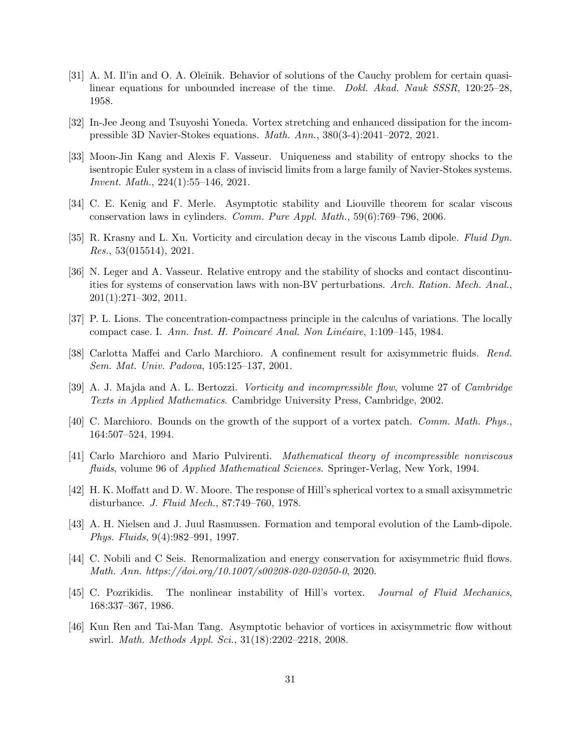- <span id="page-30-6"></span>[31] A. M. Il'in and O. A. Oleĭnik. Behavior of solutions of the Cauchy problem for certain quasilinear equations for unbounded increase of the time. Dokl. Akad. Nauk SSSR, 120:25–28, 1958.
- <span id="page-30-14"></span>[32] In-Jee Jeong and Tsuyoshi Yoneda. Vortex stretching and enhanced dissipation for the incompressible 3D Navier-Stokes equations. Math. Ann., 380(3-4):2041–2072, 2021.
- <span id="page-30-9"></span>[33] Moon-Jin Kang and Alexis F. Vasseur. Uniqueness and stability of entropy shocks to the isentropic Euler system in a class of inviscid limits from a large family of Navier-Stokes systems. Invent. Math., 224(1):55–146, 2021.
- <span id="page-30-7"></span>[34] C. E. Kenig and F. Merle. Asymptotic stability and Liouville theorem for scalar viscous conservation laws in cylinders. Comm. Pure Appl. Math., 59(6):769–796, 2006.
- <span id="page-30-3"></span>[35] R. Krasny and L. Xu. Vorticity and circulation decay in the viscous Lamb dipole. Fluid Dyn. Res., 53(015514), 2021.
- <span id="page-30-8"></span>[36] N. Leger and A. Vasseur. Relative entropy and the stability of shocks and contact discontinuities for systems of conservation laws with non-BV perturbations. Arch. Ration. Mech. Anal., 201(1):271–302, 2011.
- <span id="page-30-4"></span>[37] P. L. Lions. The concentration-compactness principle in the calculus of variations. The locally compact case. I. Ann. Inst. H. Poincaré Anal. Non Linéaire, 1:109–145, 1984.
- <span id="page-30-10"></span>[38] Carlotta Maffei and Carlo Marchioro. A confinement result for axisymmetric fluids. Rend. Sem. Mat. Univ. Padova, 105:125–137, 2001.
- <span id="page-30-13"></span>[39] A. J. Majda and A. L. Bertozzi. Vorticity and incompressible flow, volume 27 of Cambridge Texts in Applied Mathematics. Cambridge University Press, Cambridge, 2002.
- <span id="page-30-12"></span>[40] C. Marchioro. Bounds on the growth of the support of a vortex patch. Comm. Math. Phys., 164:507–524, 1994.
- <span id="page-30-15"></span>[41] Carlo Marchioro and Mario Pulvirenti. Mathematical theory of incompressible nonviscous fluids, volume 96 of *Applied Mathematical Sciences*. Springer-Verlag, New York, 1994.
- <span id="page-30-1"></span>[42] H. K. Moffatt and D. W. Moore. The response of Hill's spherical vortex to a small axisymmetric disturbance. J. Fluid Mech., 87:749–760, 1978.
- <span id="page-30-2"></span>[43] A. H. Nielsen and J. Juul Rasmussen. Formation and temporal evolution of the Lamb-dipole. Phys. Fluids, 9(4):982–991, 1997.
- <span id="page-30-5"></span>[44] C. Nobili and C Seis. Renormalization and energy conservation for axisymmetric fluid flows. Math. Ann. https://doi.org/10.1007/s00208-020-02050-0, 2020.
- <span id="page-30-0"></span>[45] C. Pozrikidis. The nonlinear instability of Hill's vortex. Journal of Fluid Mechanics, 168:337–367, 1986.
- <span id="page-30-11"></span>[46] Kun Ren and Tai-Man Tang. Asymptotic behavior of vortices in axisymmetric flow without swirl. Math. Methods Appl. Sci., 31(18):2202–2218, 2008.